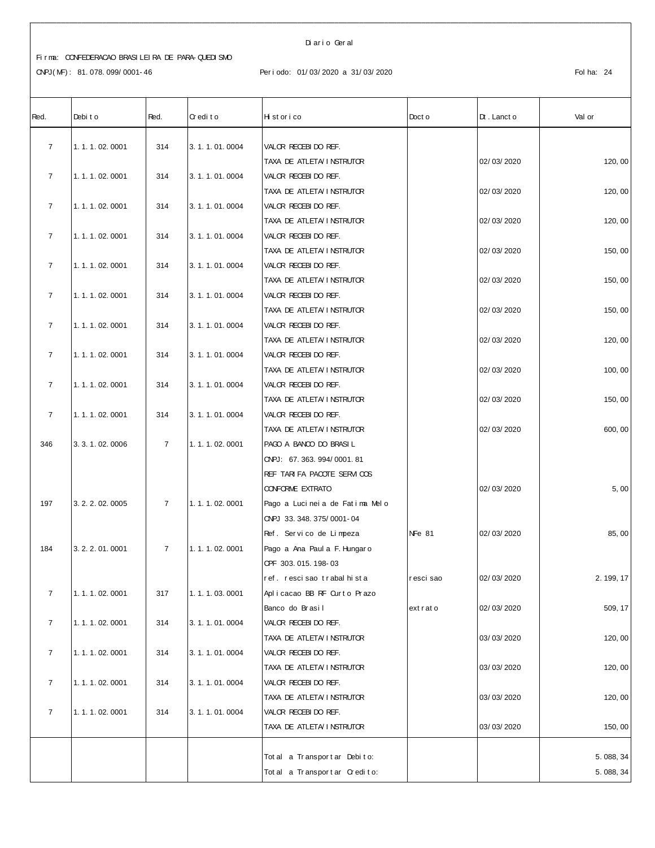#### Di ar i o Ger al

# Fi r ma: CONFEDERACAO BRASI LEI RA DE PARA- QUEDI SMO

| Red.           | Debit o           | Red.           | Credito       | Historico                      | Doct o        | $Dt$ . Lanct o | Val or    |
|----------------|-------------------|----------------|---------------|--------------------------------|---------------|----------------|-----------|
| $\overline{7}$ | 1.1.1.02.0001     | 314            | 3.1.1.01.0004 | VALOR RECEBIDO REF.            |               |                |           |
|                |                   |                |               | TAXA DE ATLETA/ I NSTRUTOR     |               | 02/03/2020     | 120,00    |
| $\overline{7}$ | 1.1.1.02.0001     | 314            | 3.1.1.01.0004 | VALOR RECEBIDO REF.            |               |                |           |
|                |                   |                |               | TAXA DE ATLETA/INSTRUTOR       |               | 02/03/2020     | 120, 00   |
| $\overline{7}$ | 1.1.1.02.0001     | 314            | 3.1.1.01.0004 | VALOR RECEBIDO REF.            |               |                |           |
|                |                   |                |               | TAXA DE ATLETA/ I NSTRUTOR     |               | 02/03/2020     | 120, 00   |
| $\overline{7}$ | 1.1.1.02.0001     | 314            | 3.1.1.01.0004 | VALOR RECEBIDO REF.            |               |                |           |
|                |                   |                |               | TAXA DE ATLETA I NSTRUTOR      |               | 02/03/2020     | 150,00    |
| $\overline{7}$ | 1.1.1.02.0001     | 314            | 3.1.1.01.0004 | VALOR RECEBIDO REF.            |               |                |           |
|                |                   |                |               | TAXA DE ATLETA I NSTRUTOR      |               | 02/03/2020     | 150, 00   |
| $\overline{7}$ | 1.1.1.02.0001     | 314            | 3.1.1.01.0004 | VALOR RECEBIDO REF.            |               |                |           |
|                |                   |                |               | TAXA DE ATLETA I NSTRUTOR      |               | 02/03/2020     | 150,00    |
| $\overline{7}$ | 1.1.1.02.0001     | 314            | 3.1.1.01.0004 | VALOR RECEBIDO REF.            |               |                |           |
|                |                   |                |               | TAXA DE ATLETA/INSTRUTOR       |               | 02/03/2020     | 120, 00   |
| $\overline{7}$ | 1.1.1.02.0001     | 314            | 3.1.1.01.0004 | VALOR RECEBIDO REF.            |               |                |           |
|                |                   |                |               | TAXA DE ATLETA I NSTRUTOR      |               | 02/03/2020     | 100,00    |
| $\overline{7}$ | 1.1.1.02.0001     | 314            | 3.1.1.01.0004 | VALOR RECEBIDO REF.            |               |                |           |
|                |                   |                |               | TAXA DE ATLETA/ I NSTRUTOR     |               | 02/03/2020     | 150,00    |
| $\overline{7}$ | 1.1.1.02.0001     | 314            | 3.1.1.01.0004 | VALOR RECEBIDO REF.            |               |                |           |
|                |                   |                |               | TAXA DE ATLETA/INSTRUTOR       |               | 02/03/2020     | 600, 00   |
| 346            | 3. 3. 1. 02. 0006 | $\overline{7}$ | 1.1.1.02.0001 | PAGO A BANCO DO BRASIL         |               |                |           |
|                |                   |                |               | ONPJ: 67.363.994/0001.81       |               |                |           |
|                |                   |                |               | REF TARI FA PACOTE SERVICOS    |               |                |           |
|                |                   |                |               | <b>CONFORME EXTRATO</b>        |               | 02/03/2020     | 5,00      |
| 197            | 3. 2. 2. 02. 0005 | $\overline{7}$ | 1.1.1.02.0001 | Pago a Lucineia de Fatima Melo |               |                |           |
|                |                   |                |               | CNPJ 33.348.375/0001-04        |               |                |           |
|                |                   |                |               | Ref. Servico de Limpeza        | <b>NFe 81</b> | 02/03/2020     | 85,00     |
| 184            | 3.2.2.01.0001     | $\overline{7}$ | 1.1.1.02.0001 | Pago a Ana Paul a F. Hungar o  |               |                |           |
|                |                   |                |               | OPF 303.015.198-03             |               |                |           |
|                |                   |                |               | ref. rescisao trabal hista     | r esci sao    | 02/03/2020     | 2.199,17  |
| $\overline{7}$ | 1.1.1.02.0001     | 317            | 1.1.1.03.0001 | Aplicacao BB RF Curto Prazo    |               |                |           |
|                |                   |                |               | Banco do Brasil                | extrato       | 02/03/2020     | 509, 17   |
| $\overline{7}$ | 1.1.1.02.0001     | 314            | 3.1.1.01.0004 | VALOR RECEBIDO REF.            |               |                |           |
|                |                   |                |               | TAXA DE ATLETA/INSTRUTOR       |               | 03/03/2020     | 120, 00   |
| $\overline{7}$ | 1.1.1.02.0001     | 314            | 3.1.1.01.0004 | VALOR RECEBIDO REF.            |               |                |           |
|                |                   |                |               | TAXA DE ATLETA I NSTRUTOR      |               | 03/03/2020     | 120, 00   |
| $\overline{7}$ | 1.1.1.02.0001     | 314            | 3.1.1.01.0004 | VALOR RECEBIDO REF.            |               |                |           |
|                |                   |                |               | TAXA DE ATLETA I NSTRUTOR      |               | 03/03/2020     | 120, 00   |
| $\overline{7}$ | 1.1.1.02.0001     | 314            | 3.1.1.01.0004 | VALOR RECEBIDO REF.            |               |                |           |
|                |                   |                |               | TAXA DE ATLETA/INSTRUTOR       |               | 03/03/2020     | 150, 00   |
|                |                   |                |               |                                |               |                |           |
|                |                   |                |               | Tot al a Transport ar Debito:  |               |                | 5.088,34  |
|                |                   |                |               | Total a Transportar Credito:   |               |                | 5.088, 34 |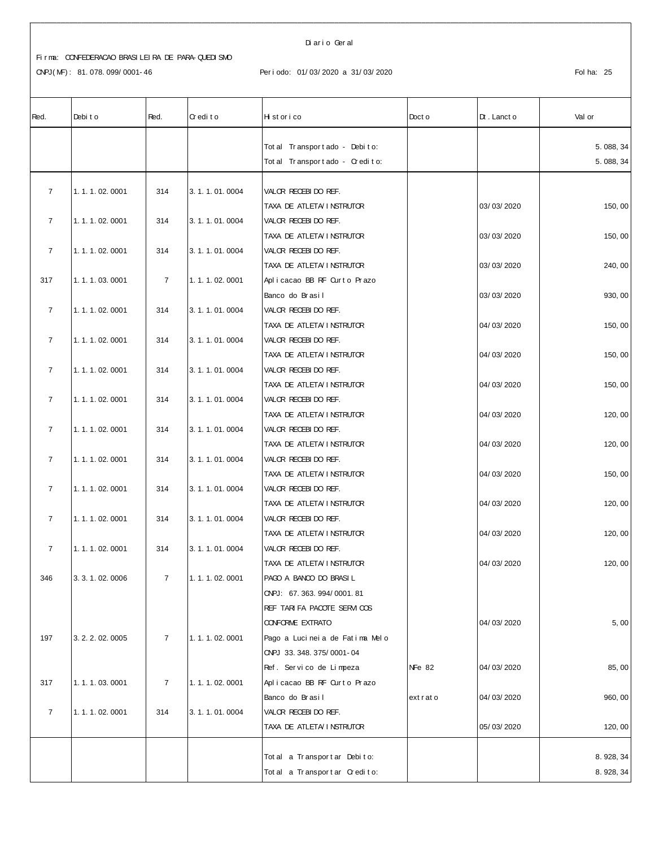| Red.           | Debit o           | Red.           | Credito           | Hi st or i co                                  | Doct o        | $Dt$ . Lanct o | Val or    |
|----------------|-------------------|----------------|-------------------|------------------------------------------------|---------------|----------------|-----------|
|                |                   |                |                   | Tot al Transport ado - Debito:                 |               |                | 5.088,34  |
|                |                   |                |                   | Total Transportado - Credito:                  |               |                | 5.088,34  |
|                |                   |                |                   |                                                |               |                |           |
| $\overline{7}$ | 1.1.1.02.0001     | 314            | 3.1.1.01.0004     | VALOR RECEBIDO REF.                            |               |                |           |
|                |                   |                |                   | TAXA DE ATLETA I NSTRUTOR                      |               | 03/03/2020     | 150,00    |
| $\overline{7}$ | 1.1.1.02.0001     | 314            | 3.1.1.01.0004     | VALOR RECEBIDO REF.                            |               |                |           |
|                |                   |                |                   | TAXA DE ATLETA I NSTRUTOR                      |               | 03/03/2020     | 150,00    |
| $\overline{7}$ | 1.1.1.02.0001     | 314            | 3.1.1.01.0004     | VALOR RECEBIDO REF.                            |               |                |           |
|                |                   |                |                   | TAXA DE ATLETA I NSTRUTOR                      |               | 03/03/2020     | 240, 00   |
| 317            | 1.1.1.03.0001     | $\overline{7}$ | 1.1.1.02.0001     | Aplicacao BB RF Curto Prazo                    |               |                |           |
|                |                   |                |                   | Banco do Brasil                                |               | 03/03/2020     | 930, 00   |
| $\overline{7}$ | 1.1.1.02.0001     | 314            | 3. 1. 1. 01. 0004 | VALOR RECEBIDO REF.                            |               |                |           |
|                |                   |                |                   | TAXA DE ATLETA I NSTRUTOR                      |               | 04/03/2020     | 150,00    |
| $\overline{7}$ | 1.1.1.02.0001     | 314            | 3.1.1.01.0004     | VALOR RECEBIDO REF.                            |               |                |           |
|                |                   |                |                   | TAXA DE ATLETA/ I NSTRUTOR                     |               | 04/03/2020     | 150, 00   |
| $\overline{7}$ | 1.1.1.02.0001     | 314            | 3.1.1.01.0004     | VALOR RECEBIDO REF.                            |               |                |           |
|                |                   |                |                   | TAXA DE ATLETA I NSTRUTOR                      |               | 04/03/2020     | 150,00    |
| $\overline{7}$ | 1.1.1.02.0001     | 314            | 3. 1. 1. 01. 0004 | VALOR RECEBIDO REF.                            |               |                |           |
|                |                   |                |                   | TAXA DE ATLETA I NSTRUTOR                      |               | 04/03/2020     | 120,00    |
| $\overline{7}$ | 1.1.1.02.0001     | 314            | 3.1.1.01.0004     | VALOR RECEBIDO REF.                            |               |                |           |
|                |                   |                |                   | TAXA DE ATLETA I NSTRUTOR                      |               | 04/03/2020     | 120, 00   |
| $\overline{7}$ | 1.1.1.02.0001     | 314            | 3.1.1.01.0004     | VALOR RECEBIDO REF.                            |               |                |           |
|                |                   |                |                   | TAXA DE ATLETA I NSTRUTOR                      |               | 04/03/2020     | 150, 00   |
| $\overline{7}$ | 1.1.1.02.0001     | 314            | 3.1.1.01.0004     | VALOR RECEBIDO REF.                            |               |                |           |
|                |                   |                |                   | TAXA DE ATLETA I NSTRUTOR                      |               | 04/03/2020     | 120,00    |
| $\overline{7}$ | 1.1.1.02.0001     | 314            | 3.1.1.01.0004     | VALOR RECEBIDO REF.                            |               |                |           |
|                |                   |                |                   | TAXA DE ATLETA I NSTRUTOR                      |               | 04/03/2020     | 120, 00   |
| $\overline{7}$ | 1.1.1.02.0001     | 314            | 3.1.1.01.0004     | VALOR RECEBIDO REF.                            |               |                |           |
|                |                   |                |                   | TAXA DE ATLETA/ I NSTRUTOR                     |               | 04/03/2020     | 120, 00   |
| 346            | 3. 3. 1. 02. 0006 | $\overline{7}$ | 1.1.1.02.0001     | PAGO A BANCO DO BRASI L                        |               |                |           |
|                |                   |                |                   | CNPJ: 67.363.994/0001.81                       |               |                |           |
|                |                   |                |                   | REF TARI FA PACOTE SERVICOS                    |               |                |           |
|                |                   |                |                   | <b>CONFORME EXTRATO</b>                        |               | 04/03/2020     | 5,00      |
| 197            | 3. 2. 2. 02. 0005 | $\overline{7}$ | 1.1.1.02.0001     | Pago a Lucineia de Fatima Melo                 |               |                |           |
|                |                   |                |                   | ONPJ 33.348.375/0001-04                        |               |                |           |
|                |                   |                |                   | Ref. Servico de Limpeza                        | <b>NFe 82</b> | 04/03/2020     | 85,00     |
| 317            | 1.1.1.03.0001     | $\overline{7}$ | 1.1.1.02.0001     | Aplicacao BB RF Ourto Prazo<br>Banco do Brasil |               |                |           |
| $\overline{7}$ | 1.1.1.02.0001     | 314            |                   |                                                | extrato       | 04/03/2020     | 960, 00   |
|                |                   |                | 3.1.1.01.0004     | VALOR RECEBIDO REF.                            |               |                |           |
|                |                   |                |                   | TAXA DE ATLETA I NSTRUTOR                      |               | 05/03/2020     | 120, 00   |
|                |                   |                |                   | Total a Transportar Debito:                    |               |                | 8.928, 34 |
|                |                   |                |                   | Total a Transportar Credito:                   |               |                | 8.928, 34 |
|                |                   |                |                   |                                                |               |                |           |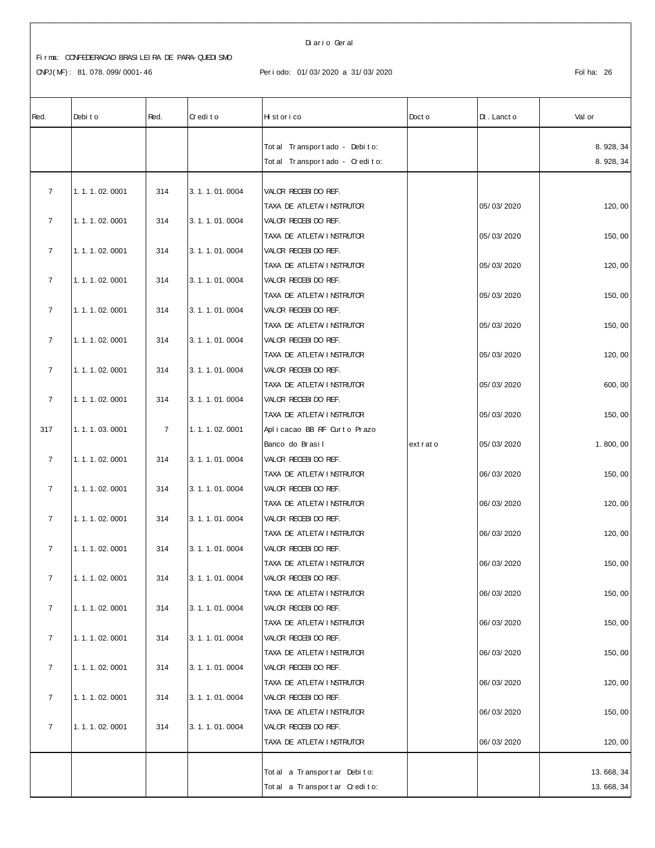CNPJ(MF): 81.078.099/0001-46 Periodo: 01/03/2020 a 31/03/2020 Periodo: 01/03/2020 Folha: 26

Di ar i o Ger al

| Red.           | Debit o       | Red.           | Credito       | Historico                              | Doct o  | $Dt$ . Lanct o | Val or     |
|----------------|---------------|----------------|---------------|----------------------------------------|---------|----------------|------------|
|                |               |                |               | Tot al Transport ado - Debito:         |         |                | 8.928, 34  |
|                |               |                |               | Tot al Transport ado - Credito:        |         |                | 8.928, 34  |
|                |               |                |               |                                        |         |                |            |
| $\overline{7}$ | 1.1.1.02.0001 | 314            | 3.1.1.01.0004 | VALOR RECEBIDO REF.                    |         |                |            |
|                |               |                |               | TAXA DE ATLETA I NSTRUTOR              |         | 05/03/2020     | 120,00     |
| $\overline{7}$ | 1.1.1.02.0001 | 314            | 3.1.1.01.0004 | VALOR RECEBIDO REF.                    |         |                |            |
|                |               |                |               | TAXA DE ATLETA I NSTRUTOR              |         | 05/03/2020     | 150,00     |
| $\overline{7}$ | 1.1.1.02.0001 | 314            | 3.1.1.01.0004 | VALOR RECEBIDO REF.                    |         |                |            |
|                |               |                |               | TAXA DE ATLETA I NSTRUTOR              |         | 05/03/2020     | 120, 00    |
| $\overline{7}$ | 1.1.1.02.0001 | 314            | 3.1.1.01.0004 | VALOR RECEBIDO REF.                    |         |                |            |
|                |               |                |               | TAXA DE ATLETA I NSTRUTOR              |         | 05/03/2020     | 150,00     |
| $\overline{7}$ | 1.1.1.02.0001 | 314            | 3.1.1.01.0004 | VALOR RECEBIDO REF.                    |         |                |            |
|                |               |                |               | TAXA DE ATLETA I NSTRUTOR              |         | 05/03/2020     | 150,00     |
| $\overline{7}$ | 1.1.1.02.0001 | 314            | 3.1.1.01.0004 | VALOR RECEBIDO REF.                    |         |                |            |
|                |               |                |               | TAXA DE ATLETA I NSTRUTOR              |         | 05/03/2020     | 120, 00    |
| $\overline{7}$ | 1.1.1.02.0001 | 314            | 3.1.1.01.0004 | VALOR RECEBIDO REF.                    |         |                |            |
|                |               |                |               | TAXA DE ATLETA I NSTRUTOR              |         | 05/03/2020     | 600, 00    |
| $\overline{7}$ | 1.1.1.02.0001 | 314            | 3.1.1.01.0004 | VALOR RECEBIDO REF.                    |         |                |            |
|                |               |                |               | TAXA DE ATLETA I NSTRUTOR              |         | 05/03/2020     | 150,00     |
| 317            | 1.1.1.03.0001 | $\overline{7}$ | 1.1.1.02.0001 | Aplicacao BB RF Ourto Prazo            |         |                |            |
| $\overline{7}$ | 1.1.1.02.0001 | 314            | 3.1.1.01.0004 | Banco do Brasil<br>VALOR RECEBIDO REF. | extrato | 05/03/2020     | 1.800,00   |
|                |               |                |               | TAXA DE ATLETA I NSTRUTOR              |         | 06/03/2020     | 150, 00    |
| $\overline{7}$ | 1.1.1.02.0001 | 314            | 3.1.1.01.0004 | VALOR RECEBIDO REF.                    |         |                |            |
|                |               |                |               | TAXA DE ATLETA I NSTRUTOR              |         | 06/03/2020     | 120,00     |
| $\overline{7}$ | 1.1.1.02.0001 | 314            | 3.1.1.01.0004 | VALOR RECEBIDO REF.                    |         |                |            |
|                |               |                |               | TAXA DE ATLETA I NSTRUTOR              |         | 06/03/2020     | 120, 00    |
| $\overline{7}$ | 1.1.1.02.0001 | 314            | 3.1.1.01.0004 | VALOR RECEBIDO REF.                    |         |                |            |
|                |               |                |               | TAXA DE ATLETA I NSTRUTOR              |         | 06/03/2020     | 150,00     |
| $\overline{7}$ | 1.1.1.02.0001 | 314            | 3.1.1.01.0004 | VALOR RECEBI DO REF.                   |         |                |            |
|                |               |                |               | TAXA DE ATLETA I NSTRUTOR              |         | 06/03/2020     | 150,00     |
| $\overline{7}$ | 1.1.1.02.0001 | 314            | 3.1.1.01.0004 | VALOR RECEBIDO REF.                    |         |                |            |
|                |               |                |               | TAXA DE ATLETA I NSTRUTOR              |         | 06/03/2020     | 150,00     |
| $\overline{7}$ | 1.1.1.02.0001 | 314            | 3.1.1.01.0004 | VALOR RECEBIDO REF.                    |         |                |            |
|                |               |                |               | TAXA DE ATLETA I NSTRUTOR              |         | 06/03/2020     | 150,00     |
| $\overline{7}$ | 1.1.1.02.0001 | 314            | 3.1.1.01.0004 | VALOR RECEBIDO REF.                    |         |                |            |
|                |               |                |               | TAXA DE ATLETA/ I NSTRUTOR             |         | 06/03/2020     | 120, 00    |
| $\overline{7}$ | 1.1.1.02.0001 | 314            | 3.1.1.01.0004 | VALOR RECEBIDO REF.                    |         |                |            |
|                |               |                |               | TAXA DE ATLETA/ I NSTRUTOR             |         | 06/03/2020     | 150,00     |
| $\overline{7}$ | 1.1.1.02.0001 | 314            | 3.1.1.01.0004 | VALOR RECEBIDO REF.                    |         |                |            |
|                |               |                |               | TAXA DE ATLETA/INSTRUTOR               |         | 06/03/2020     | 120, 00    |
|                |               |                |               |                                        |         |                |            |
|                |               |                |               | Tot al a Transport ar Debito:          |         |                | 13.668, 34 |
|                |               |                |               | Total a Transportar Credito:           |         |                | 13.668, 34 |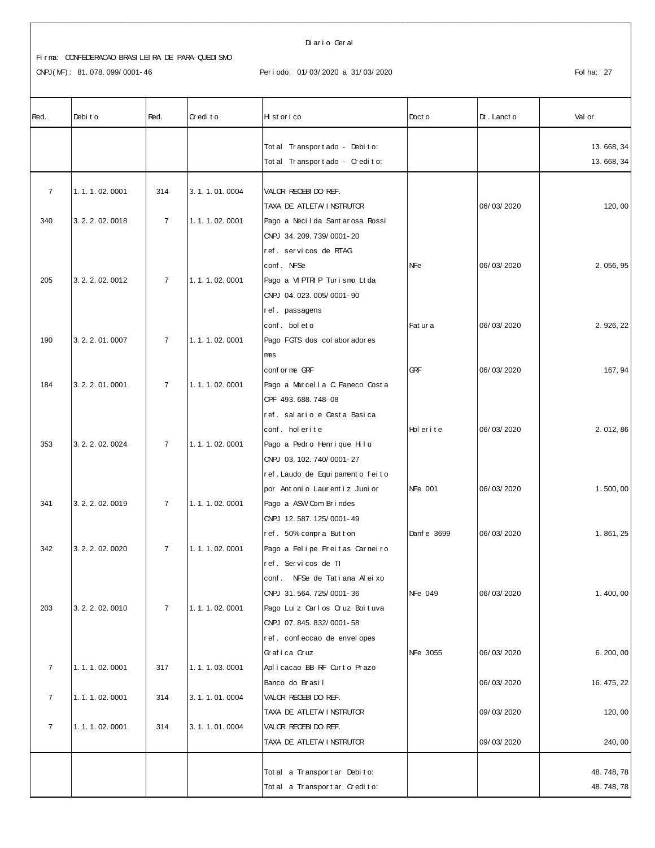CNPJ(MF): 81.078.099/0001-46

#### Diario Geral

Periodo: 01/03/2020 a 31/03/2020

| Red.           | Debit o           | Red.           | Credito       | H st or i co                                  | Doct o      | $Dt$ . Lanct o | Val or     |
|----------------|-------------------|----------------|---------------|-----------------------------------------------|-------------|----------------|------------|
|                |                   |                |               | Tot al Transport ado - Debito:                |             |                | 13.668, 34 |
|                |                   |                |               | Tot al Transport ado - Credito:               |             |                | 13.668, 34 |
| $\overline{7}$ | 1.1.1.02.0001     | 314            | 3.1.1.01.0004 | VALOR RECEBIDO REF.                           |             |                |            |
|                |                   |                |               | TAXA DE ATLETA/ I NSTRUTOR                    |             | 06/03/2020     | 120, 00    |
| 340            | 3. 2. 2. 02. 0018 | $\overline{7}$ | 1.1.1.02.0001 | Pago a Necil da Sant ar osa Rossi             |             |                |            |
|                |                   |                |               | ONPJ 34. 209. 739/0001-20                     |             |                |            |
|                |                   |                |               | ref. servicos de RTAG                         |             |                |            |
|                |                   |                |               | conf. NFSe                                    | NFe         | 06/03/2020     | 2.056,95   |
| 205            | 3.2.2.02.0012     | $\overline{7}$ | 1.1.1.02.0001 | Pago a VI PTRI P Turismo Lt da                |             |                |            |
|                |                   |                |               | CNPJ 04.023.005/0001-90                       |             |                |            |
|                |                   |                |               | ref. passagens                                |             |                |            |
|                |                   |                |               | conf. bol et o                                | Fat ur a    | 06/03/2020     | 2.926, 22  |
| 190            | 3.2.2.01.0007     | $\overline{7}$ | 1.1.1.02.0001 | Pago FGTS dos col abor ador es                |             |                |            |
|                |                   |                |               | mes                                           |             |                |            |
|                |                   |                |               | conf or me GRF                                | <b>GRF</b>  | 06/03/2020     | 167, 94    |
| 184            | 3.2.2.01.0001     | $\overline{7}$ | 1.1.1.02.0001 | Pago a Marcella C. Faneco Costa               |             |                |            |
|                |                   |                |               | OPF 493, 688, 748-08                          |             |                |            |
|                |                   |                |               | ref. salario e Cesta Basica<br>conf. holerite | Holerite    | 06/03/2020     | 2.012,86   |
| 353            | 3.2.2.02.0024     | $\overline{7}$ | 1.1.1.02.0001 | Pago a Pedro Henrique Hilu                    |             |                |            |
|                |                   |                |               | ONPJ 03.102.740/0001-27                       |             |                |            |
|                |                   |                |               | ref. Laudo de Equipamento feito               |             |                |            |
|                |                   |                |               | por Ant oni o Laur ent i z Juni or            | NFe 001     | 06/03/2020     | 1.500,00   |
| 341            | 3.2.2.02.0019     | $\overline{7}$ | 1.1.1.02.0001 | Pago a ASW Com Brindes                        |             |                |            |
|                |                   |                |               | ONPJ 12.587.125/0001-49                       |             |                |            |
|                |                   |                |               | ref. 50% compra Button                        | Danf e 3699 | 06/03/2020     | 1.861,25   |
| 342            | 3. 2. 2. 02. 0020 | $\overline{7}$ | 1.1.1.02.0001 | Pago a Felipe Freitas Carneiro                |             |                |            |
|                |                   |                |               | ref. Servicos de TI                           |             |                |            |
|                |                   |                |               | conf. NFSe de Tatiana Aleixo                  |             |                |            |
|                |                   |                |               | ONPJ 31.564.725/0001-36                       | NFe 049     | 06/03/2020     | 1.400,00   |
| 203            | 3. 2. 2. 02. 0010 | $\overline{7}$ | 1.1.1.02.0001 | Pago Luiz Carlos Cruz Boituva                 |             |                |            |
|                |                   |                |               | ONPJ 07.845.832/0001-58                       |             |                |            |
|                |                   |                |               | ref. confeccao de envelopes                   |             |                |            |
|                |                   |                |               | Grafica Cruz                                  | NFe 3055    | 06/03/2020     | 6.200,00   |
| $\overline{7}$ | 1.1.1.02.0001     | 317            | 1.1.1.03.0001 | Aplicacao BB RF Ourto Prazo                   |             |                |            |
|                |                   |                |               | Banco do Brasil                               |             | 06/03/2020     | 16.475,22  |
| $\overline{7}$ | 1.1.1.02.0001     | 314            | 3.1.1.01.0004 | VALOR RECEBIDO REF.                           |             |                |            |
|                |                   |                |               | TAXA DE ATLETA/ I NSTRUTOR                    |             | 09/03/2020     | 120, 00    |
| $\overline{7}$ | 1.1.1.02.0001     | 314            | 3.1.1.01.0004 | VALOR RECEBIDO REF.                           |             |                |            |
|                |                   |                |               | TAXA DE ATLETA/INSTRUTOR                      |             | 09/03/2020     | 240, 00    |
|                |                   |                |               | Total a Transportar Debito:                   |             |                | 48.748,78  |
|                |                   |                |               | Total a Transportar Credito:                  |             |                | 48.748,78  |
|                |                   |                |               |                                               |             |                |            |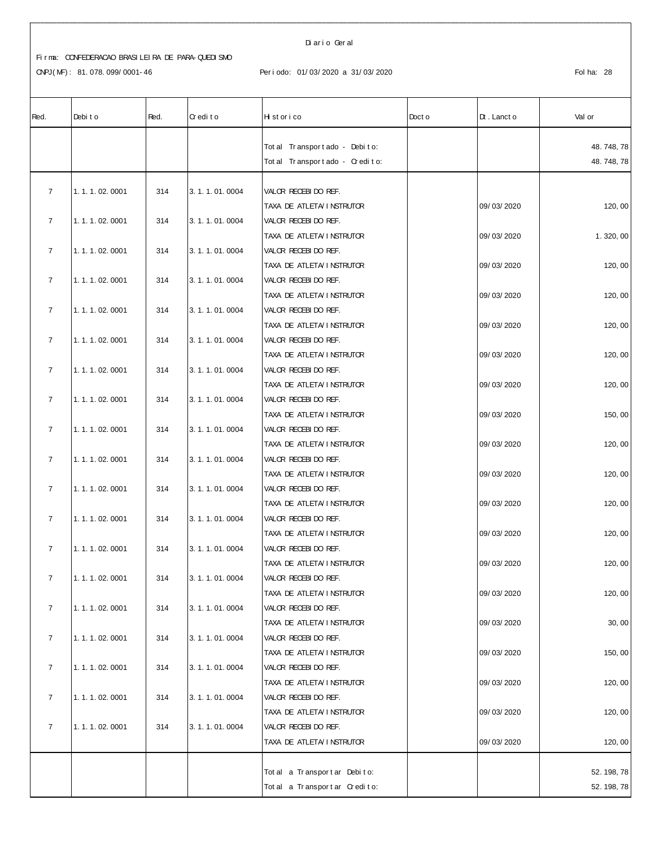#### Di ar i o Ger al

# Fi r ma: CONFEDERACAO BRASI LEI RA DE PARA- QUEDI SMO

CNPJ(MF): 81.078.099/0001-46 Periodo: 01/03/2020 a 31/03/2020 <br>Fol ha: 28

| Red.           | Debit o       | Red. | Credito       | Historico                                         | Doct o | $Dt$ . Lanct o | Val or    |
|----------------|---------------|------|---------------|---------------------------------------------------|--------|----------------|-----------|
|                |               |      |               | Tot al Transport ado - Debito:                    |        |                | 48.748,78 |
|                |               |      |               | Total Transportado - Credito:                     |        |                | 48.748,78 |
|                |               |      |               |                                                   |        |                |           |
| $\overline{7}$ | 1.1.1.02.0001 | 314  | 3.1.1.01.0004 | VALOR RECEBIDO REF.                               |        |                |           |
|                |               |      |               | TAXA DE ATLETA I NSTRUTOR                         |        | 09/03/2020     | 120,00    |
| $\overline{7}$ | 1.1.1.02.0001 | 314  | 3.1.1.01.0004 | VALOR RECEBIDO REF.                               |        |                |           |
|                |               |      |               | TAXA DE ATLETA I NSTRUTOR                         |        | 09/03/2020     | 1.320,00  |
| $\overline{7}$ | 1.1.1.02.0001 | 314  | 3.1.1.01.0004 | VALOR RECEBIDO REF.                               |        |                |           |
|                |               |      |               | TAXA DE ATLETA/INSTRUTOR                          |        | 09/03/2020     | 120,00    |
| $\overline{7}$ | 1.1.1.02.0001 | 314  | 3.1.1.01.0004 | VALOR RECEBIDO REF.                               |        |                |           |
|                |               |      |               | TAXA DE ATLETA/ I NSTRUTOR                        |        | 09/03/2020     | 120, 00   |
| $\overline{7}$ | 1.1.1.02.0001 | 314  | 3.1.1.01.0004 | VALOR RECEBIDO REF.                               |        |                |           |
| $\overline{7}$ |               | 314  | 3.1.1.01.0004 | TAXA DE ATLETA/ I NSTRUTOR<br>VALOR RECEBIDO REF. |        | 09/03/2020     | 120,00    |
|                | 1.1.1.02.0001 |      |               | TAXA DE ATLETA I NSTRUTOR                         |        | 09/03/2020     | 120,00    |
| $\overline{7}$ | 1.1.1.02.0001 | 314  | 3.1.1.01.0004 | VALOR RECEBIDO REF.                               |        |                |           |
|                |               |      |               | TAXA DE ATLETA/INSTRUTOR                          |        | 09/03/2020     | 120, 00   |
| $\overline{7}$ | 1.1.1.02.0001 | 314  | 3.1.1.01.0004 | VALOR RECEBIDO REF.                               |        |                |           |
|                |               |      |               | TAXA DE ATLETA I NSTRUTOR                         |        | 09/03/2020     | 150,00    |
| $\overline{7}$ | 1.1.1.02.0001 | 314  | 3.1.1.01.0004 | VALOR RECEBIDO REF.                               |        |                |           |
|                |               |      |               | TAXA DE ATLETA I NSTRUTOR                         |        | 09/03/2020     | 120, 00   |
| $\overline{7}$ | 1.1.1.02.0001 | 314  | 3.1.1.01.0004 | VALOR RECEBIDO REF.                               |        |                |           |
|                |               |      |               | TAXA DE ATLETA/ I NSTRUTOR                        |        | 09/03/2020     | 120, 00   |
| $\overline{7}$ | 1.1.1.02.0001 | 314  | 3.1.1.01.0004 | VALOR RECEBIDO REF.                               |        |                |           |
|                |               |      |               | TAXA DE ATLETA/INSTRUTOR                          |        | 09/03/2020     | 120,00    |
| $\overline{7}$ | 1.1.1.02.0001 | 314  | 3.1.1.01.0004 | VALOR RECEBIDO REF.                               |        |                |           |
|                |               |      |               | TAXA DE ATLETA I NSTRUTOR                         |        | 09/03/2020     | 120,00    |
| $\overline{7}$ | 1.1.1.02.0001 | 314  | 3.1.1.01.0004 | VALOR RECEBIDO REF.                               |        |                |           |
|                |               |      |               | TAXA DE ATLETA/INSTRUTOR                          |        | 09/03/2020     | 120,00    |
| $\overline{7}$ | 1.1.1.02.0001 | 314  | 3.1.1.01.0004 | VALOR RECEBI DO REF.                              |        |                |           |
|                |               |      |               | TAXA DE ATLETA/ I NSTRUTOR                        |        | 09/03/2020     | 120,00    |
| $\overline{7}$ | 1.1.1.02.0001 | 314  | 3.1.1.01.0004 | VALOR RECEBIDO REF.                               |        |                |           |
| $\overline{7}$ | 1.1.1.02.0001 | 314  | 3.1.1.01.0004 | TAXA DE ATLETA/INSTRUTOR<br>VALOR RECEBIDO REF.   |        | 09/03/2020     | 30, 00    |
|                |               |      |               | TAXA DE ATLETA/INSTRUTOR                          |        | 09/03/2020     | 150,00    |
| $\overline{7}$ | 1.1.1.02.0001 | 314  | 3.1.1.01.0004 | VALOR RECEBIDO REF.                               |        |                |           |
|                |               |      |               | TAXA DE ATLETA/ I NSTRUTOR                        |        | 09/03/2020     | 120, 00   |
| $\overline{7}$ | 1.1.1.02.0001 | 314  | 3.1.1.01.0004 | VALOR RECEBIDO REF.                               |        |                |           |
|                |               |      |               | TAXA DE ATLETA/ I NSTRUTOR                        |        | 09/03/2020     | 120, 00   |
| $\overline{7}$ | 1.1.1.02.0001 | 314  | 3.1.1.01.0004 | VALOR RECEBIDO REF.                               |        |                |           |
|                |               |      |               | TAXA DE ATLETA/ I NSTRUTOR                        |        | 09/03/2020     | 120, 00   |
|                |               |      |               |                                                   |        |                |           |
|                |               |      |               | Tot al a Transport ar Debito:                     |        |                | 52.198,78 |
|                |               |      |               | Total a Transportar Credito:                      |        |                | 52.198,78 |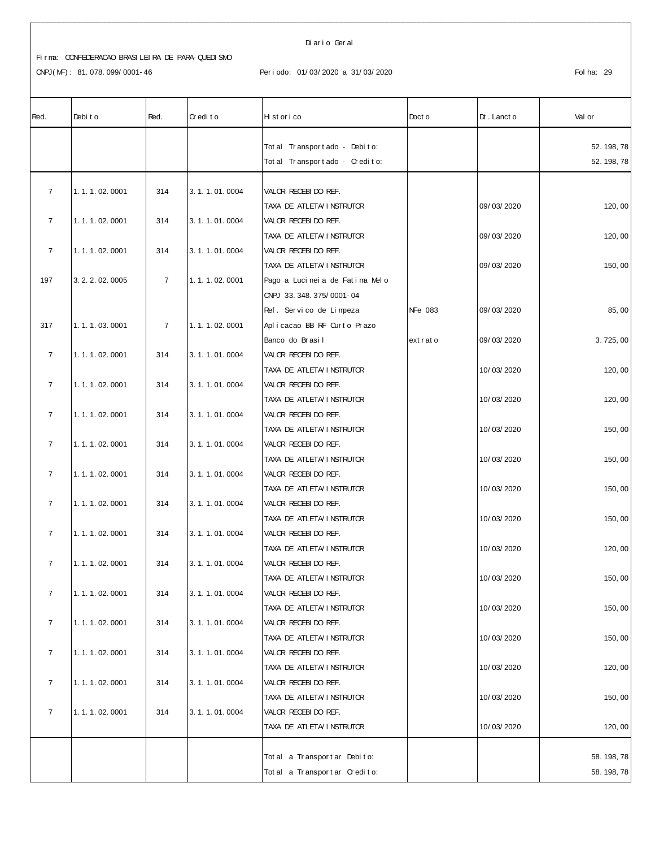CNPJ(MF): 81.078.099/0001-46

#### Diario Geral

#### Periodo: 01/03/2020 a 31/03/2020

| Red.           | Debit o           | Red.           | Credito           | Historico                      | Doct o         | $Dt$ . Lanct o | Val or    |
|----------------|-------------------|----------------|-------------------|--------------------------------|----------------|----------------|-----------|
|                |                   |                |                   | Tot al Transport ado - Debito: |                |                | 52.198,78 |
|                |                   |                |                   | Total Transportado - Credito:  |                |                | 52.198,78 |
|                |                   |                |                   |                                |                |                |           |
| $\overline{7}$ | 1.1.1.02.0001     | 314            | 3.1.1.01.0004     | VALOR RECEBIDO REF.            |                |                |           |
|                |                   |                |                   | TAXA DE ATLETA I NSTRUTOR      |                | 09/03/2020     | 120,00    |
| $\overline{7}$ | 1.1.1.02.0001     | 314            | 3.1.1.01.0004     | VALOR RECEBIDO REF.            |                |                |           |
|                |                   |                |                   | TAXA DE ATLETA I NSTRUTOR      |                | 09/03/2020     | 120,00    |
| $\overline{7}$ | 1.1.1.02.0001     | 314            | 3.1.1.01.0004     | VALOR RECEBIDO REF.            |                |                |           |
|                |                   |                |                   | TAXA DE ATLETA/ I NSTRUTOR     |                | 09/03/2020     | 150,00    |
| 197            | 3. 2. 2. 02. 0005 | $\overline{7}$ | 1.1.1.02.0001     | Pago a Lucineia de Fatima Melo |                |                |           |
|                |                   |                |                   | ONPJ 33.348.375/0001-04        |                |                |           |
|                |                   |                |                   | Ref. Servico de Limpeza        | <b>NFe 083</b> | 09/03/2020     | 85,00     |
| 317            | 1.1.1.03.0001     | $\overline{7}$ | 1.1.1.02.0001     | Aplicacao BB RF Ourto Prazo    |                |                |           |
|                |                   |                |                   | Banco do Brasil                | extrato        | 09/03/2020     | 3.725,00  |
| $\overline{7}$ | 1.1.1.02.0001     | 314            | 3.1.1.01.0004     | VALOR RECEBIDO REF.            |                |                |           |
|                |                   |                |                   | TAXA DE ATLETA/ I NSTRUTOR     |                | 10/03/2020     | 120, 00   |
| $\overline{7}$ | 1.1.1.02.0001     | 314            | 3.1.1.01.0004     | VALOR RECEBIDO REF.            |                |                |           |
|                |                   |                |                   | TAXA DE ATLETA/ I NSTRUTOR     |                | 10/03/2020     | 120,00    |
| $\overline{7}$ | 1.1.1.02.0001     | 314            | 3.1.1.01.0004     | VALOR RECEBIDO REF.            |                |                |           |
|                |                   |                |                   | TAXA DE ATLETA/INSTRUTOR       |                | 10/03/2020     | 150,00    |
| $\overline{7}$ | 1.1.1.02.0001     | 314            | 3.1.1.01.0004     | VALOR RECEBIDO REF.            |                |                |           |
|                |                   |                |                   | TAXA DE ATLETA/INSTRUTOR       |                | 10/03/2020     | 150, 00   |
| $\overline{7}$ | 1.1.1.02.0001     | 314            | 3.1.1.01.0004     | VALOR RECEBIDO REF.            |                |                |           |
|                |                   |                |                   | TAXA DE ATLETA I NSTRUTOR      |                | 10/03/2020     | 150,00    |
| $\overline{7}$ | 1.1.1.02.0001     | 314            | 3.1.1.01.0004     | VALOR RECEBIDO REF.            |                |                |           |
|                |                   |                |                   | TAXA DE ATLETA/INSTRUTOR       |                | 10/03/2020     | 150,00    |
| $\overline{7}$ | 1.1.1.02.0001     | 314            | 3.1.1.01.0004     | VALOR RECEBIDO REF.            |                |                |           |
|                |                   |                |                   | TAXA DE ATLETA/INSTRUTOR       |                | 10/03/2020     | 120, 00   |
| $\overline{7}$ | 1.1.1.02.0001     | 314            | 3.1.1.01.0004     | VALOR RECEBI DO REF.           |                |                |           |
|                |                   |                |                   | TAXA DE ATLETA/ I NSTRUTOR     |                | 10/03/2020     | 150,00    |
| $\overline{7}$ | 1.1.1.02.0001     | 314            | 3. 1. 1. 01. 0004 | VALOR RECEBIDO REF.            |                |                |           |
|                |                   |                |                   | TAXA DE ATLETA/INSTRUTOR       |                | 10/03/2020     | 150, 00   |
| $\overline{7}$ | 1.1.1.02.0001     | 314            | 3.1.1.01.0004     | VALOR RECEBIDO REF.            |                |                |           |
|                |                   |                |                   | TAXA DE ATLETA/ I NSTRUTOR     |                | 10/03/2020     | 150,00    |
| $\overline{7}$ | 1.1.1.02.0001     | 314            | 3.1.1.01.0004     | VALOR RECEBIDO REF.            |                |                |           |
|                |                   |                |                   | TAXA DE ATLETA/INSTRUTOR       |                | 10/03/2020     | 120,00    |
| $\overline{7}$ | 1.1.1.02.0001     | 314            | 3.1.1.01.0004     | VALOR RECEBIDO REF.            |                |                |           |
|                |                   |                |                   | TAXA DE ATLETA/INSTRUTOR       |                | 10/03/2020     | 150, 00   |
| $\overline{7}$ | 1.1.1.02.0001     | 314            | 3.1.1.01.0004     | VALOR RECEBIDO REF.            |                |                |           |
|                |                   |                |                   | TAXA DE ATLETA/ I NSTRUTOR     |                | 10/03/2020     | 120, 00   |
|                |                   |                |                   |                                |                |                |           |
|                |                   |                |                   | Tot al a Transport ar Debito:  |                |                | 58.198,78 |
|                |                   |                |                   | Total a Transportar Credito:   |                |                | 58.198,78 |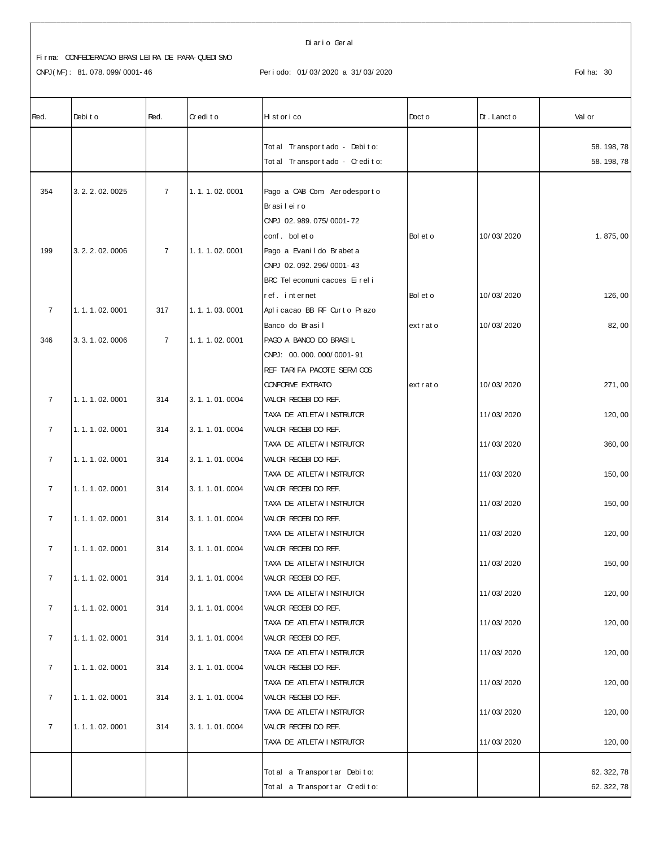CNPJ(MF): 81.078.099/0001-46

Diario Geral

## Periodo: 01/03/2020 a 31/03/2020

| Red.           | Debit o           | Red.           | Credito       | Historico                                              | Doct o   | $Dt$ . Lanct o | Val or    |
|----------------|-------------------|----------------|---------------|--------------------------------------------------------|----------|----------------|-----------|
|                |                   |                |               | Tot al Transport ado - Debito:                         |          |                | 58.198,78 |
|                |                   |                |               | Tot al Transport ado - Credito:                        |          |                | 58.198,78 |
|                |                   |                |               |                                                        |          |                |           |
| 354            | 3. 2. 2. 02. 0025 | $\overline{7}$ | 1.1.1.02.0001 | Pago a CAB Com Aerodesporto                            |          |                |           |
|                |                   |                |               | Brasileiro                                             |          |                |           |
|                |                   |                |               | CNPJ 02.989.075/0001-72                                |          |                |           |
|                |                   |                |               | conf. bol et o                                         | Bol et o | 10/03/2020     | 1.875,00  |
| 199            | 3. 2. 2. 02. 0006 | $\overline{7}$ | 1.1.1.02.0001 | Pago a Evani I do Brabet a                             |          |                |           |
|                |                   |                |               | CNPJ 02.092.296/0001-43                                |          |                |           |
|                |                   |                |               | BRC Tel ecomuni cacoes Ei rel i                        |          |                |           |
|                |                   |                |               | ref. internet                                          | Bol et o | 10/03/2020     | 126,00    |
| $\overline{7}$ | 1.1.1.02.0001     | 317            | 1.1.1.03.0001 | Aplicacao BB RF Curto Prazo                            |          |                |           |
|                |                   |                |               | Banco do Brasil                                        | extrato  | 10/03/2020     | 82,00     |
| 346            | 3. 3. 1. 02. 0006 | $\overline{7}$ | 1.1.1.02.0001 | PAGO A BANCO DO BRASIL                                 |          |                |           |
|                |                   |                |               | CNPJ: 00.000.000/0001-91                               |          |                |           |
|                |                   |                |               | REF TARI FA PACOTE SERVICOS<br><b>CONFORME EXTRATO</b> | extrato  | 10/03/2020     | 271,00    |
| $\overline{7}$ | 1.1.1.02.0001     | 314            | 3.1.1.01.0004 | VALOR RECEBIDO REF.                                    |          |                |           |
|                |                   |                |               | TAXA DE ATLETA/INSTRUTOR                               |          | 11/03/2020     | 120, 00   |
| $\overline{7}$ | 1.1.1.02.0001     | 314            | 3.1.1.01.0004 | VALOR RECEBIDO REF.                                    |          |                |           |
|                |                   |                |               | TAXA DE ATLETA/ I NSTRUTOR                             |          | 11/03/2020     | 360, 00   |
| $\overline{7}$ | 1.1.1.02.0001     | 314            | 3.1.1.01.0004 | VALOR RECEBIDO REF.                                    |          |                |           |
|                |                   |                |               | TAXA DE ATLETA/ I NSTRUTOR                             |          | 11/03/2020     | 150, 00   |
| $\overline{7}$ | 1.1.1.02.0001     | 314            | 3.1.1.01.0004 | VALOR RECEBIDO REF.                                    |          |                |           |
|                |                   |                |               | TAXA DE ATLETA/INSTRUTOR                               |          | 11/03/2020     | 150, 00   |
| $\overline{7}$ | 1.1.1.02.0001     | 314            | 3.1.1.01.0004 | VALOR RECEBIDO REF.                                    |          |                |           |
|                |                   |                |               | TAXA DE ATLETA/ I NSTRUTOR                             |          | 11/03/2020     | 120, 00   |
| $\overline{7}$ | 1.1.1.02.0001     | 314            | 3.1.1.01.0004 | VALOR RECEBIDO REF.                                    |          |                |           |
|                |                   |                |               | TAXA DE ATLETA/ I NSTRUTOR                             |          | 11/03/2020     | 150,00    |
| $\overline{7}$ | 1.1.1.02.0001     | 314            | 3.1.1.01.0004 | VALOR RECEBIDO REF.                                    |          |                |           |
|                |                   |                |               | TAXA DE ATLETA/ I NSTRUTOR                             |          | 11/03/2020     | 120, 00   |
| $\overline{7}$ | 1.1.1.02.0001     | 314            | 3.1.1.01.0004 | VALOR RECEBIDO REF.                                    |          |                |           |
|                |                   |                |               | TAXA DE ATLETA/ I NSTRUTOR                             |          | 11/03/2020     | 120, 00   |
| $\overline{7}$ | 1.1.1.02.0001     | 314            | 3.1.1.01.0004 | VALOR RECEBIDO REF.                                    |          |                |           |
|                |                   |                |               | TAXA DE ATLETA/ I NSTRUTOR                             |          | 11/03/2020     | 120, 00   |
| $\overline{7}$ | 1.1.1.02.0001     | 314            | 3.1.1.01.0004 | VALOR RECEBIDO REF.                                    |          |                |           |
|                |                   |                |               | TAXA DE ATLETA/ I NSTRUTOR                             |          | 11/03/2020     | 120, 00   |
| $\overline{7}$ | 1.1.1.02.0001     | 314            | 3.1.1.01.0004 | VALOR RECEBIDO REF.                                    |          |                |           |
|                |                   |                |               | TAXA DE ATLETA/ I NSTRUTOR                             |          | 11/03/2020     | 120, 00   |
| $\overline{7}$ | 1.1.1.02.0001     | 314            | 3.1.1.01.0004 | VALOR RECEBIDO REF.                                    |          |                |           |
|                |                   |                |               | TAXA DE ATLETA/ I NSTRUTOR                             |          | 11/03/2020     | 120, 00   |
|                |                   |                |               | Total a Transportar Debito:                            |          |                | 62.322,78 |
|                |                   |                |               | Total a Transportar Credito:                           |          |                | 62.322,78 |
|                |                   |                |               |                                                        |          |                |           |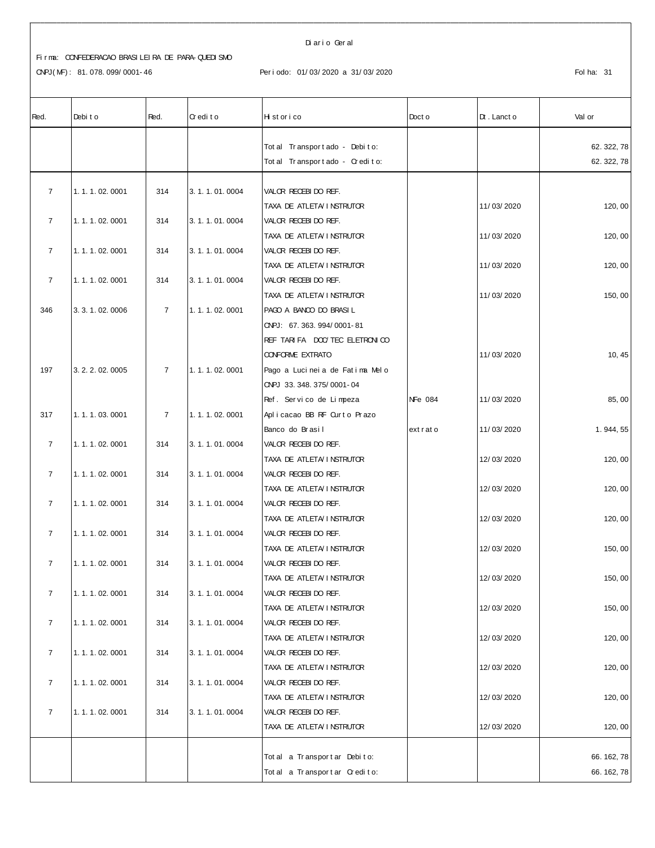CNPJ(MF): 81.078.099/0001-46

#### Diario Geral

#### Periodo: 01/03/2020 a 31/03/2020

| Red.           | Debit o           | Red.           | Credito       | Historico                       | Doct o  | $Dt$ . Lanct o | Val or    |
|----------------|-------------------|----------------|---------------|---------------------------------|---------|----------------|-----------|
|                |                   |                |               | Tot al Transport ado - Debito:  |         |                | 62.322,78 |
|                |                   |                |               | Tot al Transport ado - Credito: |         |                | 62.322,78 |
|                |                   |                |               |                                 |         |                |           |
| $\overline{7}$ | 1.1.1.02.0001     | 314            | 3.1.1.01.0004 | VALOR RECEBIDO REF.             |         |                |           |
|                |                   |                |               | TAXA DE ATLETA I NSTRUTOR       |         | 11/03/2020     | 120,00    |
| $\overline{7}$ | 1.1.1.02.0001     | 314            | 3.1.1.01.0004 | VALOR RECEBIDO REF.             |         |                |           |
|                |                   |                |               | TAXA DE ATLETA I NSTRUTOR       |         | 11/03/2020     | 120,00    |
| $\overline{7}$ | 1.1.1.02.0001     | 314            | 3.1.1.01.0004 | VALOR RECEBIDO REF.             |         |                |           |
|                |                   |                |               | TAXA DE ATLETA I NSTRUTOR       |         | 11/03/2020     | 120, 00   |
| $\overline{7}$ | 1.1.1.02.0001     | 314            | 3.1.1.01.0004 | VALOR RECEBIDO REF.             |         |                |           |
|                |                   |                |               | TAXA DE ATLETA I NSTRUTOR       |         | 11/03/2020     | 150,00    |
| 346            | 3. 3. 1. 02. 0006 | $\overline{7}$ | 1.1.1.02.0001 | PAGO A BANCO DO BRASIL          |         |                |           |
|                |                   |                |               | ONPJ: 67.363.994/0001-81        |         |                |           |
|                |                   |                |               | REF TARIFA DOC/TEC ELETRONICO   |         |                |           |
|                |                   |                |               | <b>CONFORME EXTRATO</b>         |         | 11/03/2020     | 10, 45    |
| 197            | 3. 2. 2. 02. 0005 | $\overline{7}$ | 1.1.1.02.0001 | Pago a Lucineia de Fatima Melo  |         |                |           |
|                |                   |                |               | CNPJ 33.348.375/0001-04         |         |                |           |
|                |                   |                |               | Ref. Servico de Limpeza         | NFe 084 | 11/03/2020     | 85,00     |
| 317            | 1.1.1.03.0001     | $\overline{7}$ | 1.1.1.02.0001 | Aplicacao BB RF Ourto Prazo     |         |                |           |
|                |                   |                |               | Banco do Brasil                 | extrato | 11/03/2020     | 1.944,55  |
| $\overline{7}$ | 1.1.1.02.0001     | 314            | 3.1.1.01.0004 | VALOR RECEBIDO REF.             |         |                |           |
|                |                   |                |               | TAXA DE ATLETA I NSTRUTOR       |         | 12/03/2020     | 120, 00   |
| $\overline{7}$ | 1.1.1.02.0001     | 314            | 3.1.1.01.0004 | VALOR RECEBIDO REF.             |         |                |           |
|                |                   |                |               | TAXA DE ATLETA/ I NSTRUTOR      |         | 12/03/2020     | 120, 00   |
| $\overline{7}$ | 1.1.1.02.0001     | 314            | 3.1.1.01.0004 | VALOR RECEBIDO REF.             |         |                |           |
|                |                   |                |               | TAXA DE ATLETA I NSTRUTOR       |         | 12/03/2020     | 120, 00   |
| $\overline{7}$ | 1.1.1.02.0001     | 314            | 3.1.1.01.0004 | VALOR RECEBIDO REF.             |         |                |           |
|                |                   |                |               | TAXA DE ATLETA I NSTRUTOR       |         | 12/03/2020     | 150,00    |
| $\overline{7}$ | 1.1.1.02.0001     | 314            | 3.1.1.01.0004 | VALOR RECEBIDO REF.             |         |                |           |
|                |                   |                |               | TAXA DE ATLETA/ I NSTRUTOR      |         | 12/03/2020     | 150,00    |
| $\overline{7}$ | 1.1.1.02.0001     | 314            | 3.1.1.01.0004 | VALOR RECEBI DO REF.            |         |                |           |
|                |                   |                |               | TAXA DE ATLETA/ I NSTRUTOR      |         | 12/03/2020     | 150,00    |
| $\overline{7}$ | 1.1.1.02.0001     | 314            | 3.1.1.01.0004 | VALOR RECEBIDO REF.             |         |                |           |
|                |                   |                |               | TAXA DE ATLETA I NSTRUTOR       |         | 12/03/2020     | 120, 00   |
| $\overline{7}$ | 1.1.1.02.0001     | 314            | 3.1.1.01.0004 | VALOR RECEBIDO REF.             |         |                |           |
|                |                   |                |               | TAXA DE ATLETA I NSTRUTOR       |         | 12/03/2020     | 120, 00   |
| $\overline{7}$ | 1.1.1.02.0001     | 314            | 3.1.1.01.0004 | VALOR RECEBIDO REF.             |         |                |           |
|                |                   |                |               | TAXA DE ATLETA/ I NSTRUTOR      |         | 12/03/2020     | 120, 00   |
| $\overline{7}$ | 1.1.1.02.0001     | 314            | 3.1.1.01.0004 | VALOR RECEBIDO REF.             |         |                |           |
|                |                   |                |               | TAXA DE ATLETA/INSTRUTOR        |         | 12/03/2020     | 120, 00   |
|                |                   |                |               |                                 |         |                |           |
|                |                   |                |               | Tot al a Transport ar Debito:   |         |                | 66.162,78 |
|                |                   |                |               | Total a Transportar Credito:    |         |                | 66.162,78 |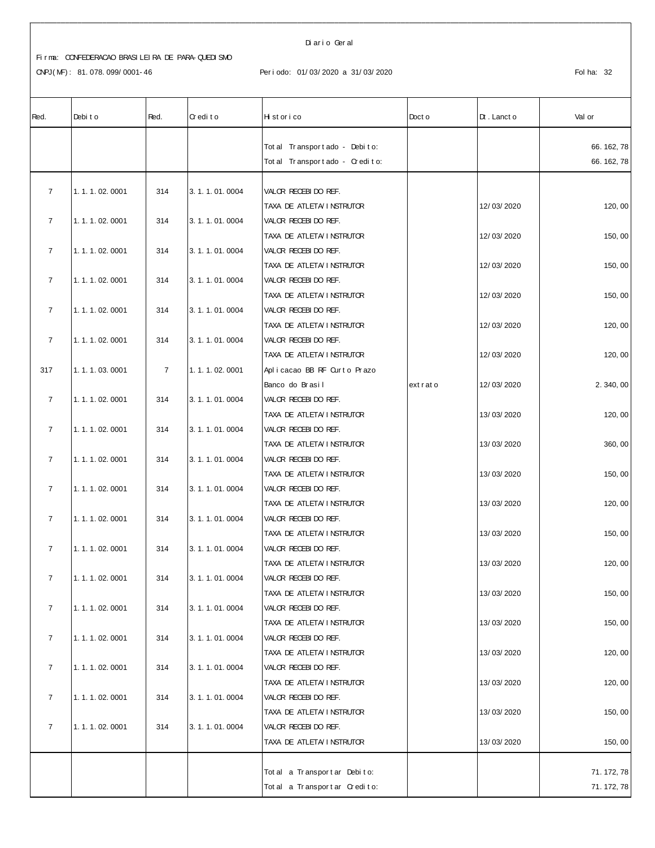CNPJ(MF): 81.078.099/0001-46

Diario Geral

## Periodo: 01/03/2020 a 31/03/2020

| Red.           | Debit o           | Red.           | Credito           | Historico                                         | Doct o  | $Dt$ . Lanct o | Val or    |
|----------------|-------------------|----------------|-------------------|---------------------------------------------------|---------|----------------|-----------|
|                |                   |                |                   | Tot al Transport ado - Debito:                    |         |                | 66.162,78 |
|                |                   |                |                   | Tot al Tr ansport ado - Cr edito:                 |         |                | 66.162,78 |
|                |                   |                |                   |                                                   |         |                |           |
| $\overline{7}$ | 1.1.1.02.0001     | 314            | 3.1.1.01.0004     | VALOR RECEBIDO REF.                               |         |                |           |
|                |                   |                |                   | TAXA DE ATLETA I NSTRUTOR                         |         | 12/03/2020     | 120, 00   |
| $\overline{7}$ | 1.1.1.02.0001     | 314            | 3.1.1.01.0004     | VALOR RECEBIDO REF.                               |         |                |           |
|                |                   |                |                   | TAXA DE ATLETA I NSTRUTOR                         |         | 12/03/2020     | 150,00    |
| $\overline{7}$ | 1.1.1.02.0001     | 314            | 3.1.1.01.0004     | VALOR RECEBIDO REF.                               |         |                |           |
| $\overline{7}$ | 1.1.1.02.0001     | 314            | 3.1.1.01.0004     | TAXA DE ATLETA I NSTRUTOR<br>VALOR RECEBIDO REF.  |         | 12/03/2020     | 150,00    |
|                |                   |                |                   | TAXA DE ATLETA I NSTRUTOR                         |         | 12/03/2020     | 150, 00   |
| $\overline{7}$ | 1.1.1.02.0001     | 314            | 3.1.1.01.0004     | VALOR RECEBIDO REF.                               |         |                |           |
|                |                   |                |                   | TAXA DE ATLETA I NSTRUTOR                         |         | 12/03/2020     | 120, 00   |
| $\overline{7}$ | 1.1.1.02.0001     | 314            | 3.1.1.01.0004     | VALOR RECEBIDO REF.                               |         |                |           |
|                |                   |                |                   | TAXA DE ATLETA/ I NSTRUTOR                        |         | 12/03/2020     | 120, 00   |
| 317            | 1.1.1.03.0001     | $\overline{7}$ | 1.1.1.02.0001     | Aplicacao BB RF Curto Prazo                       |         |                |           |
|                |                   |                |                   | Banco do Brasil                                   | extrato | 12/03/2020     | 2.340,00  |
| $\overline{7}$ | 1.1.1.02.0001     | 314            | 3.1.1.01.0004     | VALOR RECEBIDO REF.                               |         |                |           |
|                |                   |                |                   | TAXA DE ATLETA I NSTRUTOR                         |         | 13/03/2020     | 120, 00   |
| $\overline{7}$ | 1.1.1.02.0001     | 314            | 3.1.1.01.0004     | VALOR RECEBIDO REF.                               |         |                |           |
|                |                   |                |                   | TAXA DE ATLETA I NSTRUTOR                         |         | 13/03/2020     | 360,00    |
| $\overline{7}$ | 1.1.1.02.0001     | 314            | 3.1.1.01.0004     | VALOR RECEBIDO REF.                               |         |                |           |
|                |                   |                |                   | TAXA DE ATLETA I NSTRUTOR                         |         | 13/03/2020     | 150, 00   |
| $\overline{7}$ | 1.1.1.02.0001     | 314            | 3.1.1.01.0004     | VALOR RECEBIDO REF.                               |         | 13/03/2020     |           |
| $\overline{7}$ | 1.1.1.02.0001     | 314            | 3.1.1.01.0004     | TAXA DE ATLETA/ I NSTRUTOR<br>VALOR RECEBIDO REF. |         |                | 120, 00   |
|                |                   |                |                   | TAXA DE ATLETA I NSTRUTOR                         |         | 13/03/2020     | 150,00    |
| $\overline{7}$ | 1.1.1.02.0001     | 314            | 3.1.1.01.0004     | VALOR RECEBIDO REF.                               |         |                |           |
|                |                   |                |                   | TAXA DE ATLETA I NSTRUTOR                         |         | 13/03/2020     | 120, 00   |
| 7              | 1. 1. 1. 02. 0001 | 314            | 3. 1. 1. 01. 0004 | VALOR RECEBIDO REF.                               |         |                |           |
|                |                   |                |                   | TAXA DE ATLETA I NSTRUTOR                         |         | 13/03/2020     | 150,00    |
| $\overline{7}$ | 1.1.1.02.0001     | 314            | 3.1.1.01.0004     | VALOR RECEBIDO REF.                               |         |                |           |
|                |                   |                |                   | TAXA DE ATLETA/INSTRUTOR                          |         | 13/03/2020     | 150, 00   |
| $\overline{7}$ | 1.1.1.02.0001     | 314            | 3.1.1.01.0004     | VALOR RECEBIDO REF.                               |         |                |           |
|                |                   |                |                   | TAXA DE ATLETA I NSTRUTOR                         |         | 13/03/2020     | 120, 00   |
| $\overline{7}$ | 1.1.1.02.0001     | 314            | 3.1.1.01.0004     | VALOR RECEBIDO REF.                               |         |                |           |
|                |                   |                |                   | TAXA DE ATLETA/ I NSTRUTOR                        |         | 13/03/2020     | 120, 00   |
| $\overline{7}$ | 1.1.1.02.0001     | 314            | 3.1.1.01.0004     | VALOR RECEBIDO REF.                               |         |                |           |
|                |                   |                |                   | TAXA DE ATLETA I NSTRUTOR                         |         | 13/03/2020     | 150, 00   |
| $\overline{7}$ | 1.1.1.02.0001     | 314            | 3.1.1.01.0004     | VALOR RECEBIDO REF.                               |         |                |           |
|                |                   |                |                   | TAXA DE ATLETA/ I NSTRUTOR                        |         | 13/03/2020     | 150, 00   |
|                |                   |                |                   | Tot al a Transport ar Debito:                     |         |                | 71.172,78 |
|                |                   |                |                   | Total a Transportar Credito:                      |         |                | 71.172,78 |
|                |                   |                |                   |                                                   |         |                |           |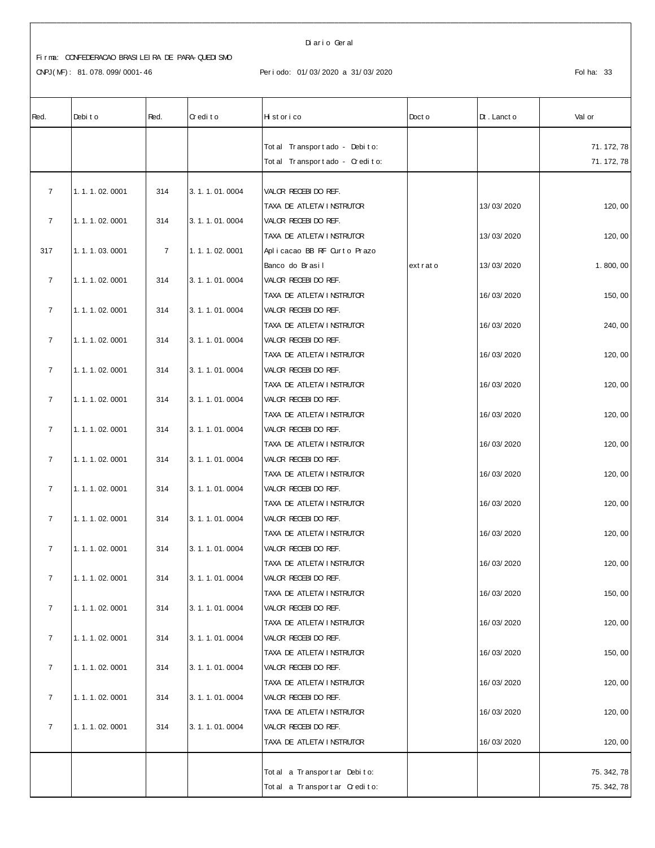#### Di ar i o Ger al

# CNPJ(MF): 81.078.099/0001-46 Periodo: 01/03/2020 a 31/03/2020 <br>Fol ha: 33

| Red.           | Debit o       | Red.           | Credito       | Hi st or i co                                     | Doct o  | $Dt$ . Lanct o | Val or    |
|----------------|---------------|----------------|---------------|---------------------------------------------------|---------|----------------|-----------|
|                |               |                |               | Tot al Transport ado - Debito:                    |         |                | 71.172,78 |
|                |               |                |               | Tot al Transport ado - Credito:                   |         |                | 71.172,78 |
|                |               |                |               |                                                   |         |                |           |
| $\overline{7}$ | 1.1.1.02.0001 | 314            | 3.1.1.01.0004 | VALOR RECEBIDO REF.                               |         |                |           |
|                |               |                |               | TAXA DE ATLETA/ I NSTRUTOR                        |         | 13/03/2020     | 120, 00   |
| $\overline{7}$ | 1.1.1.02.0001 | 314            | 3.1.1.01.0004 | VALOR RECEBIDO REF.                               |         |                |           |
|                |               |                |               | TAXA DE ATLETA/INSTRUTOR                          |         | 13/03/2020     | 120, 00   |
| 317            | 1.1.1.03.0001 | $\overline{7}$ | 1.1.1.02.0001 | Aplicacao BB RF Ourto Prazo                       |         |                |           |
|                |               |                |               | Banco do Brasil                                   | extrato | 13/03/2020     | 1.800,00  |
| $\overline{7}$ | 1.1.1.02.0001 | 314            | 3.1.1.01.0004 | VALOR RECEBIDO REF.                               |         |                |           |
|                |               |                |               | TAXA DE ATLETA I NSTRUTOR                         |         | 16/03/2020     | 150, 00   |
| $\overline{7}$ | 1.1.1.02.0001 | 314            | 3.1.1.01.0004 | VALOR RECEBIDO REF.                               |         |                |           |
|                |               |                |               | TAXA DE ATLETA/INSTRUTOR                          |         | 16/03/2020     | 240, 00   |
| $\overline{7}$ | 1.1.1.02.0001 | 314            | 3.1.1.01.0004 | VALOR RECEBIDO REF.                               |         |                |           |
| $\overline{7}$ | 1.1.1.02.0001 | 314            | 3.1.1.01.0004 | TAXA DE ATLETA/ I NSTRUTOR<br>VALOR RECEBIDO REF. |         | 16/03/2020     | 120, 00   |
|                |               |                |               | TAXA DE ATLETA I NSTRUTOR                         |         | 16/03/2020     | 120,00    |
| $\overline{7}$ | 1.1.1.02.0001 | 314            | 3.1.1.01.0004 | VALOR RECEBIDO REF.                               |         |                |           |
|                |               |                |               | TAXA DE ATLETA/INSTRUTOR                          |         | 16/03/2020     | 120,00    |
| $\overline{7}$ | 1.1.1.02.0001 | 314            | 3.1.1.01.0004 | VALOR RECEBIDO REF.                               |         |                |           |
|                |               |                |               | TAXA DE ATLETA/ I NSTRUTOR                        |         | 16/03/2020     | 120, 00   |
| $\overline{7}$ | 1.1.1.02.0001 | 314            | 3.1.1.01.0004 | VALOR RECEBIDO REF.                               |         |                |           |
|                |               |                |               | TAXA DE ATLETA/INSTRUTOR                          |         | 16/03/2020     | 120, 00   |
| $\overline{7}$ | 1.1.1.02.0001 | 314            | 3.1.1.01.0004 | VALOR RECEBIDO REF.                               |         |                |           |
|                |               |                |               | TAXA DE ATLETA I NSTRUTOR                         |         | 16/03/2020     | 120, 00   |
| $\overline{7}$ | 1.1.1.02.0001 | 314            | 3.1.1.01.0004 | VALOR RECEBIDO REF.                               |         |                |           |
|                |               |                |               | TAXA DE ATLETA/INSTRUTOR                          |         | 16/03/2020     | 120, 00   |
| $\overline{7}$ | 1.1.1.02.0001 | 314            | 3.1.1.01.0004 | VALOR RECEBIDO REF.                               |         |                |           |
|                |               |                |               | TAXA DE ATLETA/ I NSTRUTOR                        |         | 16/03/2020     | 120, 00   |
| $\overline{7}$ | 1.1.1.02.0001 | 314            | 3.1.1.01.0004 | VALOR RECEBIDO REF.                               |         |                |           |
|                |               |                |               | TAXA DE ATLETA/ I NSTRUTOR                        |         | 16/03/2020     | 150,00    |
| $\overline{7}$ | 1.1.1.02.0001 | 314            | 3.1.1.01.0004 | VALOR RECEBIDO REF.                               |         |                |           |
|                |               |                |               | TAXA DE ATLETA/INSTRUTOR                          |         | 16/03/2020     | 120, 00   |
| $\overline{7}$ | 1.1.1.02.0001 | 314            | 3.1.1.01.0004 | VALOR RECEBIDO REF.                               |         |                |           |
|                |               |                |               | TAXA DE ATLETA/ I NSTRUTOR                        |         | 16/03/2020     | 150,00    |
| $\overline{7}$ | 1.1.1.02.0001 | 314            | 3.1.1.01.0004 | VALOR RECEBIDO REF.                               |         |                |           |
|                |               |                |               | TAXA DE ATLETA/ I NSTRUTOR                        |         | 16/03/2020     | 120, 00   |
| $\overline{7}$ | 1.1.1.02.0001 | 314            | 3.1.1.01.0004 | VALOR RECEBIDO REF.                               |         |                |           |
|                |               |                |               | TAXA DE ATLETA/INSTRUTOR                          |         | 16/03/2020     | 120, 00   |
| $\overline{7}$ | 1.1.1.02.0001 | 314            | 3.1.1.01.0004 | VALOR RECEBIDO REF.                               |         |                |           |
|                |               |                |               | TAXA DE ATLETA/INSTRUTOR                          |         | 16/03/2020     | 120, 00   |
|                |               |                |               | Tot al a Transport ar Debito:                     |         |                | 75.342,78 |
|                |               |                |               | Total a Transportar Credito:                      |         |                | 75.342,78 |
|                |               |                |               |                                                   |         |                |           |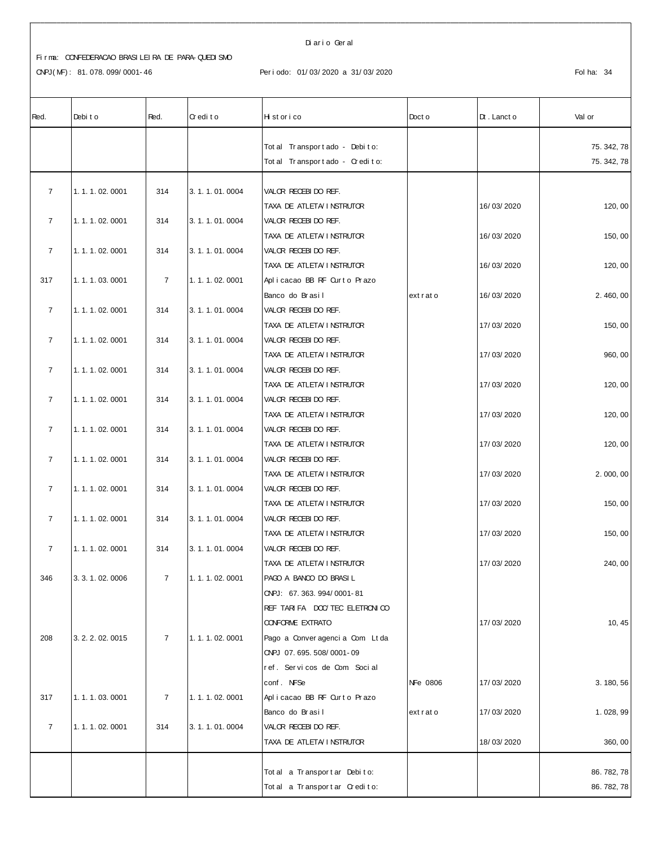#### Di ar i o Ger al

| Red.           | Debit o           | Red.           | Credito       | Historico                                        | Doct o   | $Dt$ . Lanct o | Val or    |
|----------------|-------------------|----------------|---------------|--------------------------------------------------|----------|----------------|-----------|
|                |                   |                |               | Tot al Transport ado - Debito:                   |          |                | 75.342,78 |
|                |                   |                |               | Tot al Transport ado - Credito:                  |          |                | 75.342,78 |
|                |                   |                |               |                                                  |          |                |           |
| $\overline{7}$ | 1.1.1.02.0001     | 314            | 3.1.1.01.0004 | VALOR RECEBIDO REF.                              |          |                |           |
|                |                   |                |               | TAXA DE ATLETA/ I NSTRUTOR                       |          | 16/03/2020     | 120,00    |
| $\overline{7}$ | 1.1.1.02.0001     | 314            | 3.1.1.01.0004 | VALOR RECEBIDO REF.                              |          |                |           |
|                |                   |                |               | TAXA DE ATLETA/ I NSTRUTOR                       |          | 16/03/2020     | 150,00    |
| $\overline{7}$ | 1.1.1.02.0001     | 314            | 3.1.1.01.0004 | VALOR RECEBIDO REF.                              |          |                |           |
|                |                   |                |               | TAXA DE ATLETA I NSTRUTOR                        |          | 16/03/2020     | 120, 00   |
| 317            | 1.1.1.03.0001     | $\overline{7}$ | 1.1.1.02.0001 | Aplicacao BB RF Curto Prazo                      |          |                |           |
|                |                   |                |               | Banco do Brasil                                  | extrato  | 16/03/2020     | 2.460,00  |
| $\overline{7}$ | 1.1.1.02.0001     | 314            | 3.1.1.01.0004 | VALOR RECEBIDO REF.                              |          |                |           |
|                |                   |                |               | TAXA DE ATLETA/INSTRUTOR                         |          | 17/03/2020     | 150,00    |
| $\overline{7}$ | 1.1.1.02.0001     | 314            | 3.1.1.01.0004 | VALOR RECEBIDO REF.                              |          |                |           |
|                |                   |                |               | TAXA DE ATLETA/ I NSTRUTOR                       |          | 17/03/2020     | 960, 00   |
| $\overline{7}$ | 1.1.1.02.0001     | 314            | 3.1.1.01.0004 | VALOR RECEBIDO REF.                              |          |                |           |
|                |                   |                |               | TAXA DE ATLETA/ I NSTRUTOR                       |          | 17/03/2020     | 120, 00   |
| $\overline{7}$ | 1.1.1.02.0001     | 314            | 3.1.1.01.0004 | VALOR RECEBIDO REF.                              |          |                |           |
| $\overline{7}$ |                   |                |               | TAXA DE ATLETA/INSTRUTOR                         |          | 17/03/2020     | 120,00    |
|                | 1.1.1.02.0001     | 314            | 3.1.1.01.0004 | VALOR RECEBIDO REF.<br>TAXA DE ATLETA I NSTRUTOR |          | 17/03/2020     | 120,00    |
| $\overline{7}$ | 1.1.1.02.0001     | 314            | 3.1.1.01.0004 | VALOR RECEBIDO REF.                              |          |                |           |
|                |                   |                |               | TAXA DE ATLETA/INSTRUTOR                         |          | 17/03/2020     | 2.000,00  |
| $\overline{7}$ | 1.1.1.02.0001     | 314            | 3.1.1.01.0004 | VALOR RECEBIDO REF.                              |          |                |           |
|                |                   |                |               | TAXA DE ATLETA/INSTRUTOR                         |          | 17/03/2020     | 150,00    |
| $\overline{7}$ | 1.1.1.02.0001     | 314            | 3.1.1.01.0004 | VALOR RECEBIDO REF.                              |          |                |           |
|                |                   |                |               | TAXA DE ATLETA/INSTRUTOR                         |          | 17/03/2020     | 150, 00   |
| $\overline{7}$ | 1.1.1.02.0001     | 314            | 3.1.1.01.0004 | VALOR RECEBIDO REF.                              |          |                |           |
|                |                   |                |               | TAXA DE ATLETA/ I NSTRUTOR                       |          | 17/03/2020     | 240, 00   |
| 346            | 3. 3. 1. 02. 0006 | $\overline{7}$ | 1.1.1.02.0001 | PAGO A BANCO DO BRASI L                          |          |                |           |
|                |                   |                |               | CNPJ: 67.363.994/0001-81                         |          |                |           |
|                |                   |                |               | REF TARIFA DOC/TEC ELETRON CO                    |          |                |           |
|                |                   |                |               | <b>CONFORME EXTRATO</b>                          |          | 17/03/2020     | 10, 45    |
| 208            | 3. 2. 2. 02. 0015 | $\overline{7}$ | 1.1.1.02.0001 | Pago a Converagencia Com Ltda                    |          |                |           |
|                |                   |                |               | CNPJ 07.695.508/0001-09                          |          |                |           |
|                |                   |                |               | ref. Servicos de Com Social                      |          |                |           |
|                |                   |                |               | conf. NFSe                                       | NFe 0806 | 17/03/2020     | 3.180,56  |
| 317            | 1.1.1.03.0001     | $\overline{7}$ | 1.1.1.02.0001 | Aplicacao BB RF Curto Prazo                      |          |                |           |
|                |                   |                |               | Banco do Brasil                                  | extrato  | 17/03/2020     | 1.028,99  |
| $\overline{7}$ | 1.1.1.02.0001     | 314            | 3.1.1.01.0004 | VALOR RECEBIDO REF.                              |          |                |           |
|                |                   |                |               | TAXA DE ATLETA/INSTRUTOR                         |          | 18/03/2020     | 360, 00   |
|                |                   |                |               | Total a Transportar Debito:                      |          |                | 86.782,78 |
|                |                   |                |               | Total a Transportar Credito:                     |          |                | 86.782,78 |
|                |                   |                |               |                                                  |          |                |           |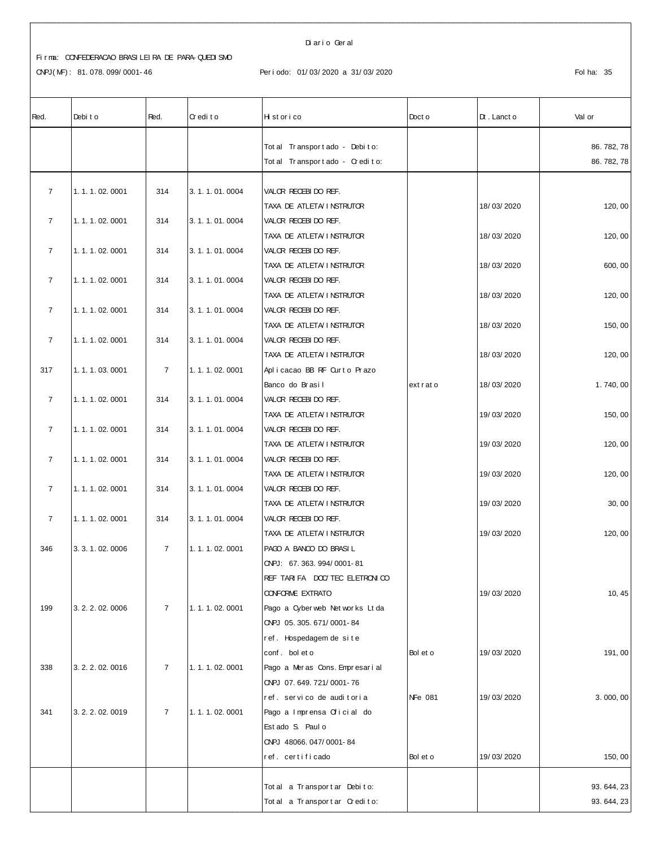CNPJ(MF): 81.078.099/0001-46

#### Diario Geral

#### Periodo: 01/03/2020 a 31/03/2020

| Red.           | Debit o           | Red.           | Credito       | Historico                         | Doct o   | $Dt$ . Lanct o | Val or    |
|----------------|-------------------|----------------|---------------|-----------------------------------|----------|----------------|-----------|
|                |                   |                |               |                                   |          |                |           |
|                |                   |                |               | Tot al Transport ado - Debito:    |          |                | 86.782,78 |
|                |                   |                |               | Total Transportado - Credito:     |          |                | 86.782,78 |
| $\overline{7}$ | 1.1.1.02.0001     | 314            | 3.1.1.01.0004 | VALOR RECEBIDO REF.               |          |                |           |
|                |                   |                |               | TAXA DE ATLETA/INSTRUTOR          |          | 18/03/2020     | 120,00    |
| $\overline{7}$ | 1.1.1.02.0001     | 314            | 3.1.1.01.0004 | VALOR RECEBIDO REF.               |          |                |           |
|                |                   |                |               | TAXA DE ATLETA I NSTRUTOR         |          | 18/03/2020     | 120, 00   |
| $\overline{7}$ | 1.1.1.02.0001     | 314            | 3.1.1.01.0004 | VALOR RECEBIDO REF.               |          |                |           |
|                |                   |                |               | TAXA DE ATLETA/ I NSTRUTOR        |          | 18/03/2020     | 600, 00   |
| $\overline{7}$ | 1.1.1.02.0001     | 314            | 3.1.1.01.0004 | VALOR RECEBIDO REF.               |          |                |           |
|                |                   |                |               | TAXA DE ATLETA/ I NSTRUTOR        |          | 18/03/2020     | 120, 00   |
| $\overline{7}$ | 1.1.1.02.0001     | 314            | 3.1.1.01.0004 | VALOR RECEBIDO REF.               |          |                |           |
|                |                   |                |               | TAXA DE ATLETA/INSTRUTOR          |          | 18/03/2020     | 150,00    |
| $\overline{7}$ | 1.1.1.02.0001     | 314            | 3.1.1.01.0004 | VALOR RECEBIDO REF.               |          |                |           |
|                |                   |                |               | TAXA DE ATLETA/ I NSTRUTOR        |          | 18/03/2020     | 120, 00   |
| 317            | 1.1.1.03.0001     | $\overline{7}$ | 1.1.1.02.0001 | Aplicacao BB RF Curto Prazo       |          |                |           |
|                |                   |                |               | Banco do Brasil                   | extrato  | 18/03/2020     | 1.740,00  |
| $\overline{7}$ | 1.1.1.02.0001     | 314            | 3.1.1.01.0004 | VALOR RECEBIDO REF.               |          |                |           |
|                |                   |                |               | TAXA DE ATLETA I NSTRUTOR         |          | 19/03/2020     | 150, 00   |
| $\overline{7}$ | 1.1.1.02.0001     | 314            | 3.1.1.01.0004 | VALOR RECEBIDO REF.               |          |                |           |
|                |                   |                |               | TAXA DE ATLETA/ I NSTRUTOR        |          | 19/03/2020     | 120, 00   |
| $\overline{7}$ | 1.1.1.02.0001     | 314            | 3.1.1.01.0004 | VALOR RECEBIDO REF.               |          |                |           |
|                |                   |                |               | TAXA DE ATLETA/ I NSTRUTOR        |          | 19/03/2020     | 120, 00   |
| $\overline{7}$ | 1.1.1.02.0001     | 314            | 3.1.1.01.0004 | VALOR RECEBIDO REF.               |          |                |           |
|                |                   |                |               | TAXA DE ATLETA I NSTRUTOR         |          | 19/03/2020     | 30,00     |
| $\overline{7}$ | 1.1.1.02.0001     | 314            | 3.1.1.01.0004 | VALOR RECEBIDO REF.               |          |                |           |
|                |                   |                |               | TAXA DE ATLETA/INSTRUTOR          |          | 19/03/2020     | 120,00    |
| 346            | 3. 3. 1. 02. 0006 | $\overline{7}$ | 1.1.1.02.0001 | PAGO A BANCO DO BRASIL            |          |                |           |
|                |                   |                |               | CNPJ: 67.363.994/0001-81          |          |                |           |
|                |                   |                |               | REF TARIFA DOC/TEC ELETRONICO     |          |                |           |
|                |                   |                |               | <b>CONFORME EXTRATO</b>           |          | 19/03/2020     | 10, 45    |
| 199            | 3. 2. 2. 02. 0006 | $\overline{7}$ | 1.1.1.02.0001 | Pago a Cyber web Net wor ks Lt da |          |                |           |
|                |                   |                |               | ONPJ 05.305.671/0001-84           |          |                |           |
|                |                   |                |               | ref. Hospedagem de site           |          |                |           |
|                |                   |                |               | conf. bol et o                    | Bol et o | 19/03/2020     | 191,00    |
| 338            | 3. 2. 2. 02. 0016 | $\overline{7}$ | 1.1.1.02.0001 | Pago a Meras Cons. Empresarial    |          |                |           |
|                |                   |                |               | CNPJ 07.649.721/0001-76           |          |                |           |
|                |                   |                |               | ref. servico de auditoria         | NFe 081  | 19/03/2020     | 3.000,00  |
| 341            | 3.2.2.02.0019     | $\overline{7}$ | 1.1.1.02.0001 | Pago a Imprensa Oficial do        |          |                |           |
|                |                   |                |               | Est ado S. Paul o                 |          |                |           |
|                |                   |                |               | CNPJ 48066.047/0001-84            |          |                |           |
|                |                   |                |               | ref. certificado                  | Bol et o | 19/03/2020     | 150,00    |
|                |                   |                |               |                                   |          |                |           |
|                |                   |                |               | Total a Transportar Debito:       |          |                | 93.644,23 |
|                |                   |                |               | Total a Transportar Credito:      |          |                | 93.644,23 |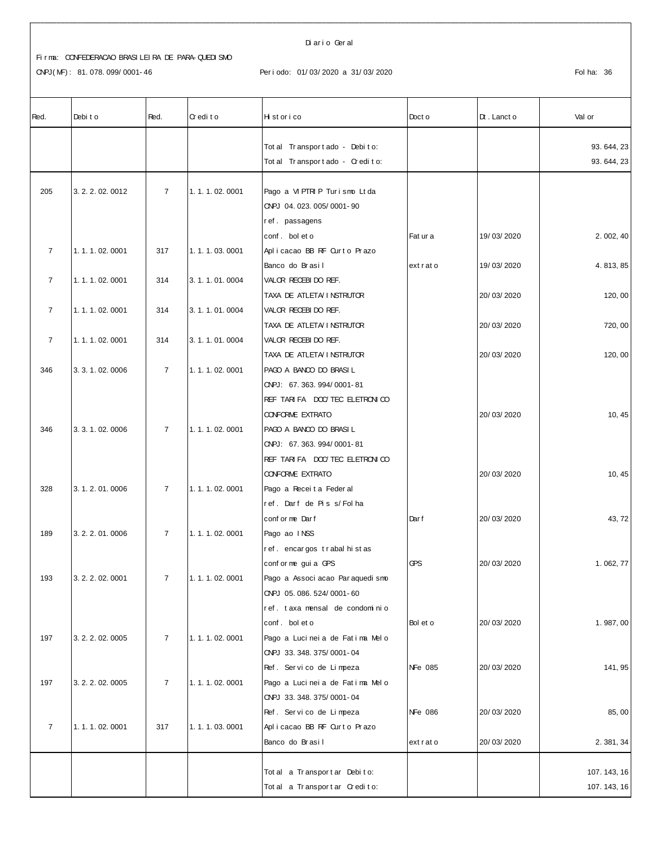CNPJ(MF): 81.078.099/0001-46

#### Diario Geral

#### Periodo: 01/03/2020 a 31/03/2020

| Red.           | Debit o           | Red.           | Credito       | Historico                         | Doct o         | $Dt$ . Lanct o | Val or     |
|----------------|-------------------|----------------|---------------|-----------------------------------|----------------|----------------|------------|
|                |                   |                |               | Tot al Transport ado - Debito:    |                |                | 93.644,23  |
|                |                   |                |               | Tot al Transport ado - Credito:   |                |                | 93.644,23  |
|                |                   |                |               |                                   |                |                |            |
| 205            | 3. 2. 2. 02. 0012 | $\overline{7}$ | 1.1.1.02.0001 | Pago a VIPTRIP Turismo Ltda       |                |                |            |
|                |                   |                |               | CNPJ 04.023.005/0001-90           |                |                |            |
|                |                   |                |               | ref. passagens                    |                |                |            |
|                |                   |                |               | conf. bol et o                    | Fat ur a       | 19/03/2020     | 2.002,40   |
| $\overline{7}$ | 1.1.1.02.0001     | 317            | 1.1.1.03.0001 | Aplicacao BB RF Curto Prazo       |                |                |            |
|                |                   |                |               | Banco do Brasil                   | extrato        | 19/03/2020     | 4.813,85   |
| $\overline{7}$ | 1.1.1.02.0001     | 314            | 3.1.1.01.0004 | VALOR RECEBIDO REF.               |                |                |            |
|                |                   |                |               | TAXA DE ATLETA/INSTRUTOR          |                | 20/03/2020     | 120, 00    |
| $\overline{7}$ | 1.1.1.02.0001     | 314            | 3.1.1.01.0004 | VALOR RECEBIDO REF.               |                |                |            |
|                |                   |                |               | TAXA DE ATLETA/ I NSTRUTOR        |                | 20/03/2020     | 720, 00    |
| $\overline{7}$ | 1.1.1.02.0001     | 314            | 3.1.1.01.0004 | VALOR RECEBIDO REF.               |                |                |            |
|                |                   |                |               | TAXA DE ATLETA/ I NSTRUTOR        |                | 20/03/2020     | 120, 00    |
| 346            | 3. 3. 1. 02. 0006 | $\overline{7}$ | 1.1.1.02.0001 | PAGO A BANCO DO BRASIL            |                |                |            |
|                |                   |                |               | CNPJ: 67.363.994/0001-81          |                |                |            |
|                |                   |                |               | REF TARIFA DOC/TEC ELETRONICO     |                |                |            |
|                |                   |                |               | <b>CONFORME EXTRATO</b>           |                | 20/03/2020     | 10, 45     |
| 346            | 3. 3. 1. 02. 0006 | $\overline{7}$ | 1.1.1.02.0001 | PAGO A BANCO DO BRASIL            |                |                |            |
|                |                   |                |               | CNPJ: 67.363.994/0001-81          |                |                |            |
|                |                   |                |               | REF TARIFA DOC/TEC ELETRONICO     |                |                |            |
|                |                   |                |               | <b>CONFORME EXTRATO</b>           |                | 20/03/2020     | 10, 45     |
| 328            | 3.1.2.01.0006     | $\overline{7}$ | 1.1.1.02.0001 | Pago a Receita Federal            |                |                |            |
|                |                   |                |               | ref. Darf de Piss/Folha           |                |                |            |
| 189            | 3.2.2.01.0006     | $\overline{7}$ | 1.1.1.02.0001 | conf or me Darf<br>Pago ao INSS   | Dar f          | 20/03/2020     | 43, 72     |
|                |                   |                |               | ref. encargos trabal histas       |                |                |            |
|                |                   |                |               | conf or me gui a GPS              | <b>GPS</b>     | 20/03/2020     | 1.062,77   |
| 193            | 3. 2. 2. 02. 0001 | $\overline{7}$ | 1.1.1.02.0001 | Pago a Associ acao Par aquedi smo |                |                |            |
|                |                   |                |               | CNPJ 05.086.524/0001-60           |                |                |            |
|                |                   |                |               | ref. taxa mensal de condominio    |                |                |            |
|                |                   |                |               | conf. bol et o                    | Bol et o       | 20/03/2020     | 1.987,00   |
| 197            | 3. 2. 2. 02. 0005 | $\overline{7}$ | 1.1.1.02.0001 | Pago a Lucineia de Fatima Melo    |                |                |            |
|                |                   |                |               | ONPJ 33.348.375/0001-04           |                |                |            |
|                |                   |                |               | Ref. Servico de Limpeza           | NFe 085        | 20/03/2020     | 141, 95    |
| 197            | 3. 2. 2. 02. 0005 | $\overline{7}$ | 1.1.1.02.0001 | Pago a Lucineia de Fatima Melo    |                |                |            |
|                |                   |                |               | ONPJ 33.348.375/0001-04           |                |                |            |
|                |                   |                |               | Ref. Servico de Limpeza           | <b>NFe 086</b> | 20/03/2020     | 85,00      |
| $\overline{7}$ | 1.1.1.02.0001     | 317            | 1.1.1.03.0001 | Aplicacao BB RF Ourto Prazo       |                |                |            |
|                |                   |                |               | Banco do Brasil                   | extrato        | 20/03/2020     | 2.381,34   |
|                |                   |                |               |                                   |                |                |            |
|                |                   |                |               | Total a Transportar Debito:       |                |                | 107.143,16 |
|                |                   |                |               | Total a Transportar Credito:      |                |                | 107.143,16 |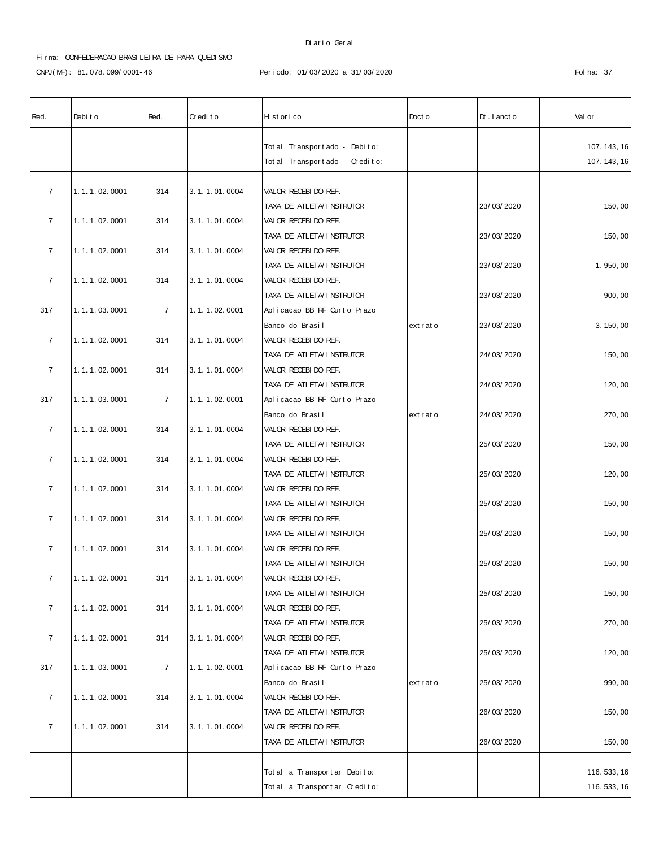CNPJ(MF): 81.078.099/0001-46

#### Diario Geral

#### Periodo: 01/03/2020 a 31/03/2020

| Red.           | Debit o       | Red.           | Credito           | Historico                                         | Doct o  | $Dt$ . Lanct o | Val or      |
|----------------|---------------|----------------|-------------------|---------------------------------------------------|---------|----------------|-------------|
|                |               |                |                   | Tot al Transport ado - Debito:                    |         |                | 107.143,16  |
|                |               |                |                   | Tot al Transport ado - Credito:                   |         |                | 107.143,16  |
|                |               |                |                   |                                                   |         |                |             |
| $\overline{7}$ | 1.1.1.02.0001 | 314            | 3.1.1.01.0004     | VALOR RECEBIDO REF.<br>TAXA DE ATLETA/ I NSTRUTOR |         | 23/03/2020     | 150,00      |
| $\overline{7}$ | 1.1.1.02.0001 | 314            | 3.1.1.01.0004     | VALOR RECEBIDO REF.                               |         |                |             |
|                |               |                |                   | TAXA DE ATLETA/INSTRUTOR                          |         | 23/03/2020     | 150,00      |
| $\overline{7}$ | 1.1.1.02.0001 | 314            | 3.1.1.01.0004     | VALOR RECEBIDO REF.                               |         |                |             |
|                |               |                |                   | TAXA DE ATLETA/INSTRUTOR                          |         | 23/03/2020     | 1.950,00    |
| $\overline{7}$ | 1.1.1.02.0001 | 314            | 3.1.1.01.0004     | VALOR RECEBIDO REF.<br>TAXA DE ATLETA/ I NSTRUTOR |         | 23/03/2020     | 900, 00     |
| 317            | 1.1.1.03.0001 | $\overline{7}$ | 1.1.1.02.0001     | Aplicacao BB RF Curto Prazo                       |         |                |             |
|                |               |                |                   | Banco do Brasil                                   | extrato | 23/03/2020     | 3.150,00    |
| $\overline{7}$ | 1.1.1.02.0001 | 314            | 3.1.1.01.0004     | VALOR RECEBIDO REF.                               |         |                |             |
|                |               |                |                   | TAXA DE ATLETA I NSTRUTOR                         |         | 24/03/2020     | 150, 00     |
| $\overline{7}$ | 1.1.1.02.0001 | 314            | 3.1.1.01.0004     | VALOR RECEBIDO REF.                               |         |                |             |
|                |               |                |                   | TAXA DE ATLETA I NSTRUTOR                         |         | 24/03/2020     | 120,00      |
| 317            | 1.1.1.03.0001 | $\overline{7}$ | 1. 1. 1. 02. 0001 | Aplicacao BB RF Curto Prazo                       |         |                |             |
|                |               |                |                   | Banco do Brasil                                   | extrato | 24/03/2020     | 270,00      |
| $\overline{7}$ | 1.1.1.02.0001 | 314            | 3.1.1.01.0004     | VALOR RECEBIDO REF.                               |         |                |             |
| $\overline{7}$ | 1.1.1.02.0001 | 314            | 3.1.1.01.0004     | TAXA DE ATLETA/ I NSTRUTOR<br>VALOR RECEBIDO REF. |         | 25/03/2020     | 150,00      |
|                |               |                |                   | TAXA DE ATLETA/ I NSTRUTOR                        |         | 25/03/2020     | 120,00      |
| $\overline{7}$ | 1.1.1.02.0001 | 314            | 3.1.1.01.0004     | VALOR RECEBIDO REF.                               |         |                |             |
|                |               |                |                   | TAXA DE ATLETA/INSTRUTOR                          |         | 25/03/2020     | 150,00      |
| $\overline{7}$ | 1.1.1.02.0001 | 314            | 3.1.1.01.0004     | VALOR RECEBIDO REF.                               |         |                |             |
|                |               |                |                   | TAXA DE ATLETA I NSTRUTOR                         |         | 25/03/2020     | 150, 00     |
| $\overline{7}$ | 1.1.1.02.0001 | 314            | 3.1.1.01.0004     | VALOR RECEBIDO REF.                               |         |                |             |
|                |               |                |                   | TAXA DE ATLETA/INSTRUTOR                          |         | 25/03/2020     | 150,00      |
| $\overline{7}$ | 1.1.1.02.0001 | 314            | 3.1.1.01.0004     | VALOR RECEBIDO REF.<br>TAXA DE ATLETA/INSTRUTOR   |         | 25/03/2020     | 150,00      |
| $\overline{7}$ | 1.1.1.02.0001 | 314            | 3.1.1.01.0004     | VALOR RECEBIDO REF.                               |         |                |             |
|                |               |                |                   | TAXA DE ATLETA/INSTRUTOR                          |         | 25/03/2020     | 270, 00     |
| $\overline{7}$ | 1.1.1.02.0001 | 314            | 3.1.1.01.0004     | VALOR RECEBIDO REF.                               |         |                |             |
|                |               |                |                   | TAXA DE ATLETA/INSTRUTOR                          |         | 25/03/2020     | 120,00      |
| 317            | 1.1.1.03.0001 | $\overline{7}$ | 1. 1. 1. 02. 0001 | Aplicacao BB RF Curto Prazo                       |         |                |             |
|                |               |                |                   | Banco do Brasil                                   | extrato | 25/03/2020     | 990, 00     |
| $\overline{7}$ | 1.1.1.02.0001 | 314            | 3.1.1.01.0004     | VALOR RECEBIDO REF.                               |         |                |             |
|                |               |                |                   | TAXA DE ATLETA/INSTRUTOR                          |         | 26/03/2020     | 150, 00     |
| $\overline{7}$ | 1.1.1.02.0001 | 314            | 3.1.1.01.0004     | VALOR RECEBIDO REF.                               |         |                |             |
|                |               |                |                   | TAXA DE ATLETA/ I NSTRUTOR                        |         | 26/03/2020     | 150, 00     |
|                |               |                |                   | Tot al a Transport ar Debito:                     |         |                | 116.533, 16 |
|                |               |                |                   | Total a Transportar Credito:                      |         |                | 116.533, 16 |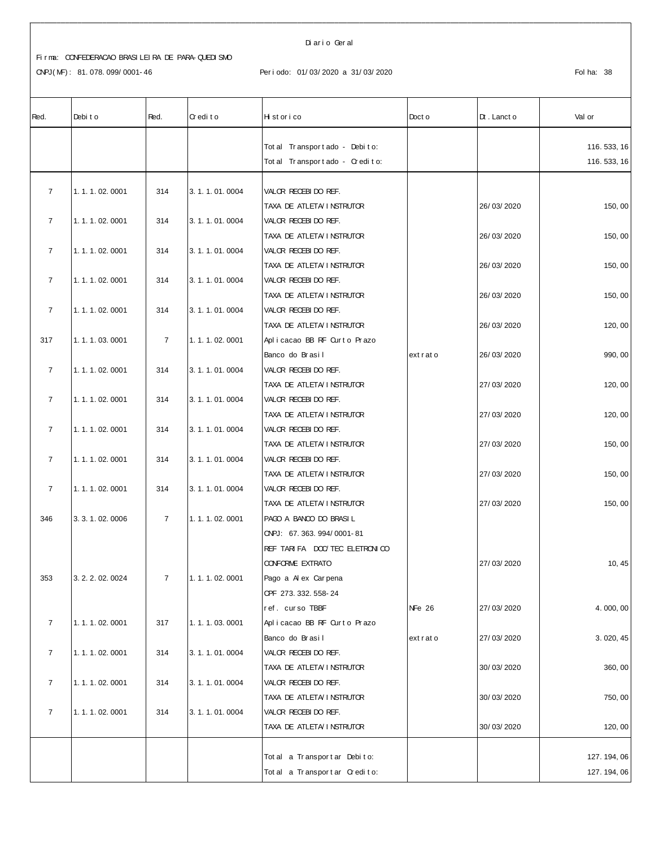CNPJ(MF): 81.078.099/0001-46

#### Diario Geral

#### Periodo: 01/03/2020 a 31/03/2020

| Red.           | Debit o           | Red.           | Credito       | Historico                      | Doct o             | $Dt$ . Lanct o | Val or      |
|----------------|-------------------|----------------|---------------|--------------------------------|--------------------|----------------|-------------|
|                |                   |                |               | Tot al Transport ado - Debito: |                    |                | 116.533, 16 |
|                |                   |                |               | Total Transportado - Credito:  |                    |                | 116.533, 16 |
|                |                   |                |               |                                |                    |                |             |
| $\overline{7}$ | 1.1.1.02.0001     | 314            | 3.1.1.01.0004 | VALOR RECEBIDO REF.            |                    |                |             |
|                |                   |                |               | TAXA DE ATLETA I NSTRUTOR      |                    | 26/03/2020     | 150,00      |
| $\overline{7}$ | 1.1.1.02.0001     | 314            | 3.1.1.01.0004 | VALOR RECEBIDO REF.            |                    |                |             |
|                |                   |                |               | TAXA DE ATLETA/INSTRUTOR       |                    | 26/03/2020     | 150,00      |
| $\overline{7}$ | 1.1.1.02.0001     | 314            | 3.1.1.01.0004 | VALOR RECEBIDO REF.            |                    |                |             |
|                |                   |                |               | TAXA DE ATLETA/INSTRUTOR       |                    | 26/03/2020     | 150, 00     |
| $\overline{7}$ | 1.1.1.02.0001     | 314            | 3.1.1.01.0004 | VALOR RECEBIDO REF.            |                    |                |             |
|                |                   |                |               | TAXA DE ATLETA/INSTRUTOR       |                    | 26/03/2020     | 150, 00     |
| $\overline{7}$ | 1.1.1.02.0001     | 314            | 3.1.1.01.0004 | VALOR RECEBIDO REF.            |                    |                |             |
|                |                   |                |               | TAXA DE ATLETA/INSTRUTOR       |                    | 26/03/2020     | 120, 00     |
| 317            | 1.1.1.03.0001     | $\overline{7}$ | 1.1.1.02.0001 | Aplicacao BB RF Ourto Prazo    |                    |                |             |
|                |                   |                |               | Banco do Brasil                | extrato            | 26/03/2020     | 990, 00     |
| $\overline{7}$ | 1.1.1.02.0001     | 314            | 3.1.1.01.0004 | VALOR RECEBIDO REF.            |                    |                |             |
|                |                   |                |               | TAXA DE ATLETA I NSTRUTOR      |                    | 27/03/2020     | 120, 00     |
| $\overline{7}$ | 1.1.1.02.0001     | 314            | 3.1.1.01.0004 | VALOR RECEBIDO REF.            |                    |                |             |
|                |                   |                |               | TAXA DE ATLETA/INSTRUTOR       |                    | 27/03/2020     | 120,00      |
| $\overline{7}$ | 1.1.1.02.0001     | 314            | 3.1.1.01.0004 | VALOR RECEBIDO REF.            |                    |                |             |
|                |                   |                |               | TAXA DE ATLETA/INSTRUTOR       |                    | 27/03/2020     | 150, 00     |
| $\overline{7}$ | 1.1.1.02.0001     | 314            | 3.1.1.01.0004 | VALOR RECEBIDO REF.            |                    |                |             |
|                |                   |                |               | TAXA DE ATLETA I NSTRUTOR      |                    | 27/03/2020     | 150,00      |
| $\overline{7}$ | 1.1.1.02.0001     | 314            | 3.1.1.01.0004 | VALOR RECEBIDO REF.            |                    |                |             |
|                |                   |                |               | TAXA DE ATLETA I NSTRUTOR      |                    | 27/03/2020     | 150,00      |
| 346            | 3. 3. 1. 02. 0006 | $\overline{7}$ | 1.1.1.02.0001 | PAGO A BANCO DO BRASIL         |                    |                |             |
|                |                   |                |               | CNPJ: 67.363.994/0001-81       |                    |                |             |
|                |                   |                |               | REF TARIFA DOC/TEC ELETRON CO  |                    |                |             |
|                |                   |                |               | <b>CONFORME EXTRATO</b>        |                    | 27/03/2020     | 10, 45      |
| 353            | 3. 2. 2. 02. 0024 | $\overline{7}$ | 1.1.1.02.0001 | Pago a A ex Carpena            |                    |                |             |
|                |                   |                |               | OPF 273. 332. 558-24           |                    |                |             |
|                |                   |                |               | ref. curso TBBF                | NF <sub>e</sub> 26 | 27/03/2020     | 4.000,00    |
| $\overline{7}$ | 1.1.1.02.0001     | 317            | 1.1.1.03.0001 | Aplicacao BB RF Ourto Prazo    |                    |                |             |
|                |                   |                |               | Banco do Brasil                | extrato            | 27/03/2020     | 3.020, 45   |
| $\overline{7}$ | 1.1.1.02.0001     | 314            | 3.1.1.01.0004 | VALOR RECEBIDO REF.            |                    |                |             |
|                |                   |                |               | TAXA DE ATLETA I NSTRUTOR      |                    | 30/03/2020     | 360, 00     |
| $\overline{7}$ | 1. 1. 1. 02. 0001 | 314            | 3.1.1.01.0004 | VALOR RECEBIDO REF.            |                    |                |             |
|                |                   |                |               | TAXA DE ATLETA/ I NSTRUTOR     |                    | 30/03/2020     | 750, 00     |
| $\overline{7}$ | 1.1.1.02.0001     | 314            | 3.1.1.01.0004 | VALOR RECEBIDO REF.            |                    |                |             |
|                |                   |                |               | TAXA DE ATLETA/INSTRUTOR       |                    | 30/03/2020     | 120, 00     |
|                |                   |                |               |                                |                    |                |             |
|                |                   |                |               | Total a Transportar Debito:    |                    |                | 127.194,06  |
|                |                   |                |               | Total a Transportar Credito:   |                    |                | 127.194,06  |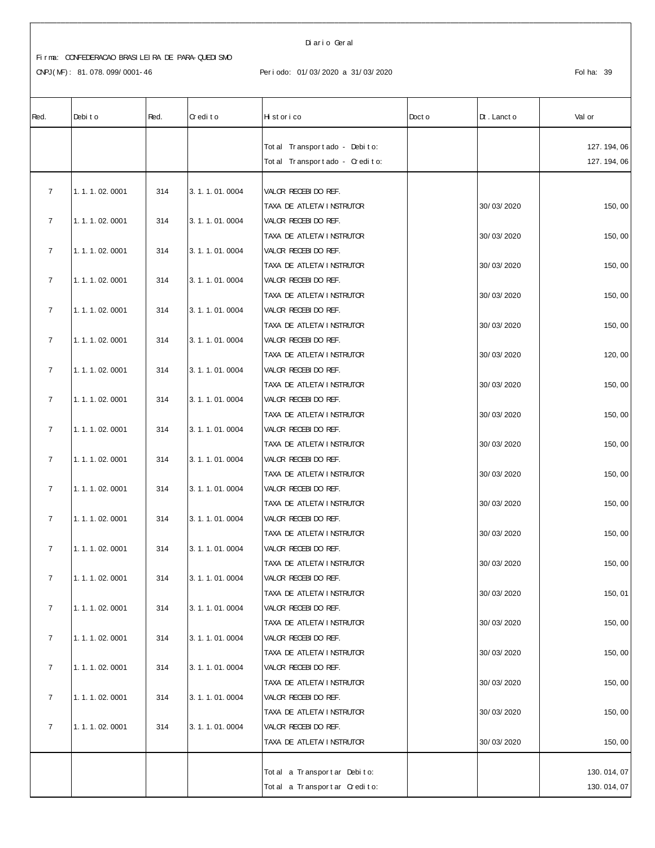#### Di ar i o Ger al

# Fi r ma: CONFEDERACAO BRASI LEI RA DE PARA- QUEDI SMO

| Red.           | Debit o       | Red. | Credito           | Historico                       | Doct o | $Dt$ . Lanct o | Val or     |
|----------------|---------------|------|-------------------|---------------------------------|--------|----------------|------------|
|                |               |      |                   |                                 |        |                |            |
|                |               |      |                   | Tot al Transport ado - Debito:  |        |                | 127.194,06 |
|                |               |      |                   | Tot al Transport ado - Credito: |        |                | 127.194,06 |
| $\overline{7}$ | 1.1.1.02.0001 | 314  | 3.1.1.01.0004     | VALOR RECEBIDO REF.             |        |                |            |
|                |               |      |                   | TAXA DE ATLETA/INSTRUTOR        |        | 30/03/2020     | 150,00     |
| $\overline{7}$ | 1.1.1.02.0001 | 314  | 3.1.1.01.0004     | VALOR RECEBIDO REF.             |        |                |            |
|                |               |      |                   | TAXA DE ATLETA/ I NSTRUTOR      |        | 30/03/2020     | 150,00     |
| $\overline{7}$ | 1.1.1.02.0001 | 314  | 3. 1. 1. 01. 0004 | VALOR RECEBIDO REF.             |        |                |            |
|                |               |      |                   | TAXA DE ATLETA/ I NSTRUTOR      |        | 30/03/2020     | 150,00     |
| $\overline{7}$ | 1.1.1.02.0001 | 314  | 3.1.1.01.0004     | VALOR RECEBIDO REF.             |        |                |            |
|                |               |      |                   | TAXA DE ATLETA/INSTRUTOR        |        | 30/03/2020     | 150, 00    |
| $\overline{7}$ | 1.1.1.02.0001 | 314  | 3. 1. 1. 01. 0004 | VALOR RECEBIDO REF.             |        |                |            |
|                |               |      |                   | TAXA DE ATLETA/INSTRUTOR        |        | 30/03/2020     | 150,00     |
| $\overline{7}$ | 1.1.1.02.0001 | 314  | 3.1.1.01.0004     | VALOR RECEBIDO REF.             |        |                |            |
|                |               |      |                   | TAXA DE ATLETA I NSTRUTOR       |        | 30/03/2020     | 120,00     |
| $\overline{7}$ | 1.1.1.02.0001 | 314  | 3. 1. 1. 01. 0004 | VALOR RECEBIDO REF.             |        |                |            |
|                |               |      |                   | TAXA DE ATLETA/ I NSTRUTOR      |        | 30/03/2020     | 150,00     |
| $\overline{7}$ | 1.1.1.02.0001 | 314  | 3.1.1.01.0004     | VALOR RECEBIDO REF.             |        |                |            |
|                |               |      |                   | TAXA DE ATLETA I NSTRUTOR       |        | 30/03/2020     | 150,00     |
| $\overline{7}$ | 1.1.1.02.0001 | 314  | 3.1.1.01.0004     | VALOR RECEBIDO REF.             |        |                |            |
|                |               |      |                   | TAXA DE ATLETA I NSTRUTOR       |        | 30/03/2020     | 150,00     |
| $\overline{7}$ | 1.1.1.02.0001 | 314  | 3.1.1.01.0004     | VALOR RECEBIDO REF.             |        |                |            |
|                |               |      |                   | TAXA DE ATLETA/ I NSTRUTOR      |        | 30/03/2020     | 150, 00    |
| $\overline{7}$ | 1.1.1.02.0001 | 314  | 3.1.1.01.0004     | VALOR RECEBIDO REF.             |        |                |            |
|                |               |      |                   | TAXA DE ATLETA/ I NSTRUTOR      |        | 30/03/2020     | 150,00     |
| $\overline{7}$ | 1.1.1.02.0001 | 314  | 3.1.1.01.0004     | VALOR RECEBIDO REF.             |        |                |            |
|                |               |      |                   | TAXA DE ATLETA/INSTRUTOR        |        | 30/03/2020     | 150,00     |
| $\overline{7}$ | 1.1.1.02.0001 | 314  | 3.1.1.01.0004     | VALOR RECEBIDO REF.             |        |                |            |
|                |               |      |                   | TAXA DE ATLETA/INSTRUTOR        |        | 30/03/2020     | 150,00     |
| $\overline{7}$ | 1.1.1.02.0001 | 314  | 3.1.1.01.0004     | VALOR RECEBI DO REF.            |        |                |            |
|                |               |      |                   | TAXA DE ATLETA/ I NSTRUTOR      |        | 30/03/2020     | 150, 01    |
| $\overline{7}$ | 1.1.1.02.0001 | 314  | 3.1.1.01.0004     | VALOR RECEBIDO REF.             |        |                |            |
|                |               |      |                   | TAXA DE ATLETA/ I NSTRUTOR      |        | 30/03/2020     | 150,00     |
| $\overline{7}$ | 1.1.1.02.0001 | 314  | 3.1.1.01.0004     | VALOR RECEBIDO REF.             |        |                |            |
|                |               |      |                   | TAXA DE ATLETA I NSTRUTOR       |        | 30/03/2020     | 150,00     |
| $\overline{7}$ | 1.1.1.02.0001 | 314  | 3.1.1.01.0004     | VALOR RECEBIDO REF.             |        |                |            |
|                |               |      |                   | TAXA DE ATLETA/ I NSTRUTOR      |        | 30/03/2020     | 150, 00    |
| $\overline{7}$ | 1.1.1.02.0001 | 314  | 3.1.1.01.0004     | VALOR RECEBIDO REF.             |        |                |            |
|                |               |      |                   | TAXA DE ATLETA/ I NSTRUTOR      |        | 30/03/2020     | 150, 00    |
| $\overline{7}$ | 1.1.1.02.0001 | 314  | 3.1.1.01.0004     | VALOR RECEBIDO REF.             |        |                |            |
|                |               |      |                   | TAXA DE ATLETA/INSTRUTOR        |        | 30/03/2020     | 150, 00    |
|                |               |      |                   |                                 |        |                |            |
|                |               |      |                   | Tot al a Transport ar Debito:   |        |                | 130.014,07 |
|                |               |      |                   | Total a Transportar Credito:    |        |                | 130.014,07 |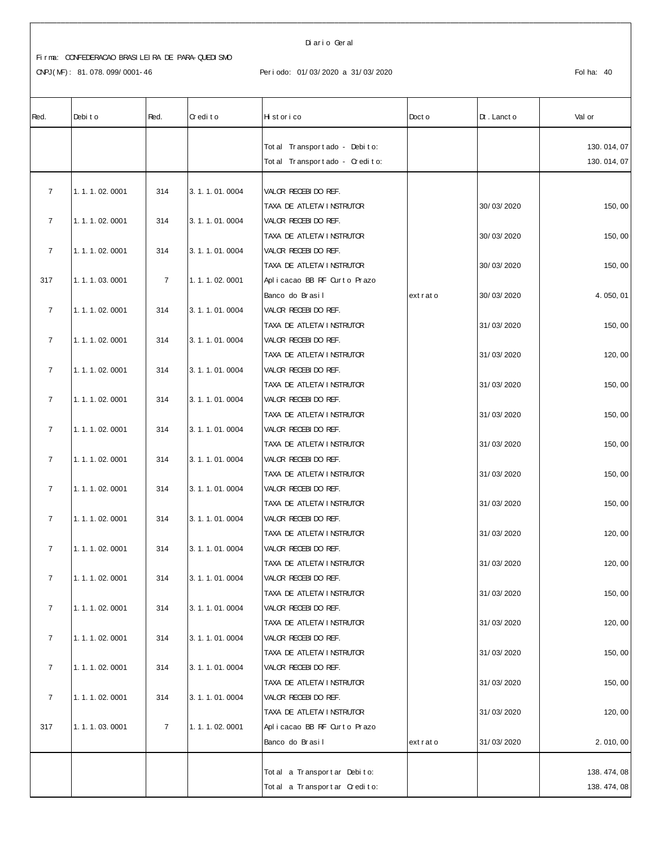#### Di ar i o Ger al

| Red.           | Debit o           | Red.           | Credito       | Historico                                        | Doct o  | $Dt$ . Lanct o | Val or     |
|----------------|-------------------|----------------|---------------|--------------------------------------------------|---------|----------------|------------|
|                |                   |                |               | Tot al Transport ado - Debito:                   |         |                | 130.014,07 |
|                |                   |                |               | Total Transportado - Credito:                    |         |                | 130.014,07 |
|                |                   |                |               |                                                  |         |                |            |
| $\overline{7}$ | 1.1.1.02.0001     | 314            | 3.1.1.01.0004 | VALOR RECEBIDO REF.<br>TAXA DE ATLETA I NSTRUTOR |         | 30/03/2020     | 150,00     |
| $\overline{7}$ | 1.1.1.02.0001     | 314            | 3.1.1.01.0004 | VALOR RECEBIDO REF.                              |         |                |            |
|                |                   |                |               | TAXA DE ATLETA/INSTRUTOR                         |         | 30/03/2020     | 150,00     |
| $\overline{7}$ | 1.1.1.02.0001     | 314            | 3.1.1.01.0004 | VALOR RECEBIDO REF.                              |         |                |            |
|                |                   |                |               | TAXA DE ATLETA I NSTRUTOR                        |         | 30/03/2020     | 150, 00    |
| 317            | 1.1.1.03.0001     | $\overline{7}$ | 1.1.1.02.0001 | Aplicacao BB RF Ourto Prazo                      |         |                |            |
|                |                   |                |               | Banco do Brasil                                  | extrato | 30/03/2020     | 4.050,01   |
| $\overline{7}$ | 1.1.1.02.0001     | 314            | 3.1.1.01.0004 | VALOR RECEBIDO REF.                              |         |                |            |
|                |                   |                |               | TAXA DE ATLETA/INSTRUTOR                         |         | 31/03/2020     | 150,00     |
| $\overline{7}$ | 1.1.1.02.0001     | 314            | 3.1.1.01.0004 | VALOR RECEBIDO REF.                              |         |                |            |
|                |                   |                |               | TAXA DE ATLETA/ I NSTRUTOR                       |         | 31/03/2020     | 120, 00    |
| $\overline{7}$ | 1.1.1.02.0001     | 314            | 3.1.1.01.0004 | VALOR RECEBIDO REF.                              |         |                |            |
|                |                   |                |               | TAXA DE ATLETA/INSTRUTOR                         |         | 31/03/2020     | 150,00     |
| $\overline{7}$ | 1.1.1.02.0001     | 314            | 3.1.1.01.0004 | VALOR RECEBIDO REF.                              |         |                |            |
|                |                   |                |               | TAXA DE ATLETA/INSTRUTOR                         |         | 31/03/2020     | 150,00     |
| $\overline{7}$ | 1.1.1.02.0001     | 314            | 3.1.1.01.0004 | VALOR RECEBIDO REF.                              |         |                |            |
|                |                   |                |               | TAXA DE ATLETA/ I NSTRUTOR                       |         | 31/03/2020     | 150, 00    |
| $\overline{7}$ | 1.1.1.02.0001     | 314            | 3.1.1.01.0004 | VALOR RECEBIDO REF.                              |         |                |            |
|                |                   |                |               | TAXA DE ATLETA I NSTRUTOR                        |         | 31/03/2020     | 150,00     |
| $\overline{7}$ | 1.1.1.02.0001     | 314            | 3.1.1.01.0004 | VALOR RECEBIDO REF.                              |         |                |            |
|                |                   |                |               | TAXA DE ATLETA I NSTRUTOR                        |         | 31/03/2020     | 150,00     |
| $\overline{7}$ | 1.1.1.02.0001     | 314            | 3.1.1.01.0004 | VALOR RECEBIDO REF.<br>TAXA DE ATLETA I NSTRUTOR |         | 31/03/2020     | 120, 00    |
| $\overline{7}$ | 1.1.1.02.0001     | 314            | 3.1.1.01.0004 | VALOR RECEBIDO REF.                              |         |                |            |
|                |                   |                |               | TAXA DE ATLETA I NSTRUTOR                        |         | 31/03/2020     | 120, 00    |
| 7              | 1. 1. 1. 02. 0001 | 314            | 3.1.1.01.0004 | VALOR RECEBIDO REF.                              |         |                |            |
|                |                   |                |               | TAXA DE ATLETA I NSTRUTOR                        |         | 31/03/2020     | 150,00     |
| $\overline{7}$ | 1.1.1.02.0001     | 314            | 3.1.1.01.0004 | VALOR RECEBIDO REF.                              |         |                |            |
|                |                   |                |               | TAXA DE ATLETA/INSTRUTOR                         |         | 31/03/2020     | 120, 00    |
| $\overline{7}$ | 1.1.1.02.0001     | 314            | 3.1.1.01.0004 | VALOR RECEBIDO REF.                              |         |                |            |
|                |                   |                |               | TAXA DE ATLETA I NSTRUTOR                        |         | 31/03/2020     | 150,00     |
| $\overline{7}$ | 1.1.1.02.0001     | 314            | 3.1.1.01.0004 | VALOR RECEBIDO REF.                              |         |                |            |
|                |                   |                |               | TAXA DE ATLETA/INSTRUTOR                         |         | 31/03/2020     | 150,00     |
| $\overline{7}$ | 1.1.1.02.0001     | 314            | 3.1.1.01.0004 | VALOR RECEBIDO REF.                              |         |                |            |
|                |                   |                |               | TAXA DE ATLETA I NSTRUTOR                        |         | 31/03/2020     | 120, 00    |
| 317            | 1.1.1.03.0001     | $\overline{7}$ | 1.1.1.02.0001 | Aplicacao BB RF Curto Prazo                      |         |                |            |
|                |                   |                |               | Banco do Brasil                                  | extrato | 31/03/2020     | 2.010,00   |
|                |                   |                |               | Tot al a Transport ar Debito:                    |         |                | 138.474,08 |
|                |                   |                |               | Total a Transportar Credito:                     |         |                | 138.474,08 |
|                |                   |                |               |                                                  |         |                |            |